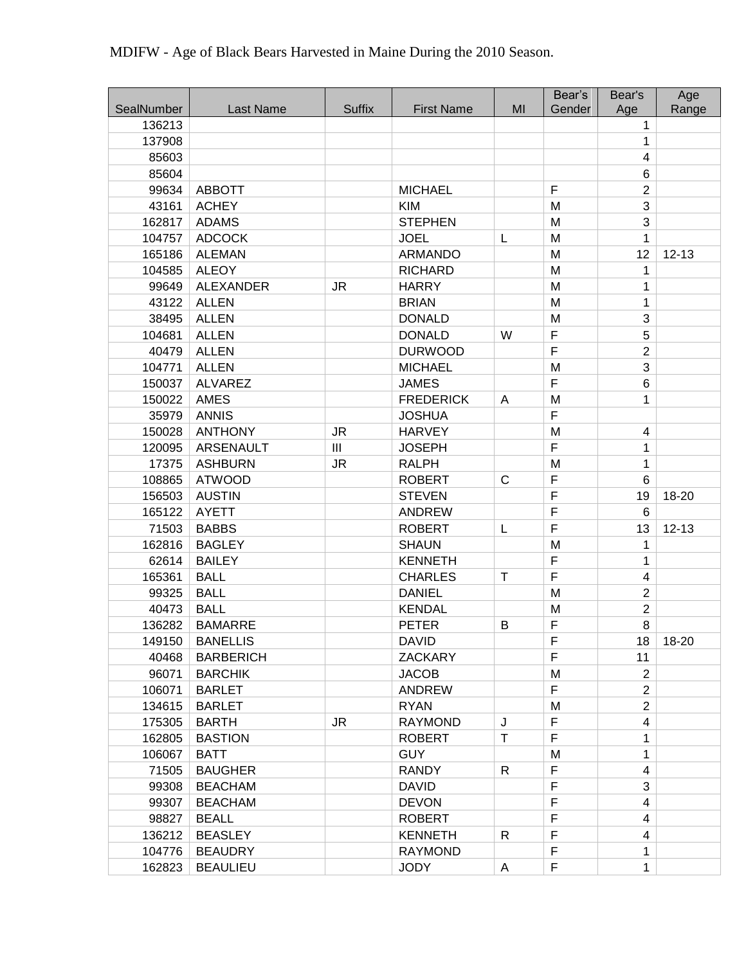|                      |                  |                |                              |              | Bear's         | Bear's         | Age       |
|----------------------|------------------|----------------|------------------------------|--------------|----------------|----------------|-----------|
| SealNumber<br>136213 | <b>Last Name</b> | <b>Suffix</b>  | <b>First Name</b>            | MI           | Gender         | Age            | Range     |
| 137908               |                  |                |                              |              |                | 1              |           |
| 85603                |                  |                |                              |              |                | 1<br>4         |           |
| 85604                |                  |                |                              |              |                | 6              |           |
| 99634                | <b>ABBOTT</b>    |                | <b>MICHAEL</b>               |              | $\mathsf F$    | $\overline{2}$ |           |
| 43161                | <b>ACHEY</b>     |                |                              |              |                | 3              |           |
| 162817               | <b>ADAMS</b>     |                | <b>KIM</b><br><b>STEPHEN</b> |              | M<br>M         | 3              |           |
| 104757               | <b>ADCOCK</b>    |                | <b>JOEL</b>                  | L            | M              | 1              |           |
| 165186               | <b>ALEMAN</b>    |                | <b>ARMANDO</b>               |              | M              | 12             |           |
| 104585               | <b>ALEOY</b>     |                | <b>RICHARD</b>               |              | M              | 1              | $12 - 13$ |
| 99649                | <b>ALEXANDER</b> | <b>JR</b>      | <b>HARRY</b>                 |              | M              | 1              |           |
| 43122                | <b>ALLEN</b>     |                | <b>BRIAN</b>                 |              | M              | 1              |           |
| 38495                | <b>ALLEN</b>     |                | <b>DONALD</b>                |              | M              | 3              |           |
| 104681               | <b>ALLEN</b>     |                | <b>DONALD</b>                | W            | F              | 5              |           |
| 40479                | <b>ALLEN</b>     |                | <b>DURWOOD</b>               |              | $\mathsf F$    | $\overline{2}$ |           |
| 104771               | <b>ALLEN</b>     |                | <b>MICHAEL</b>               |              | M              | 3              |           |
| 150037               | <b>ALVAREZ</b>   |                | <b>JAMES</b>                 |              | $\mathsf F$    | 6              |           |
| 150022               | <b>AMES</b>      |                | <b>FREDERICK</b>             | A            | M              | 1              |           |
| 35979                | <b>ANNIS</b>     |                | <b>JOSHUA</b>                |              | F              |                |           |
| 150028               | <b>ANTHONY</b>   | <b>JR</b>      | <b>HARVEY</b>                |              | M              | 4              |           |
| 120095               | <b>ARSENAULT</b> | $\mathbf{III}$ | <b>JOSEPH</b>                |              | F              | 1              |           |
| 17375                | <b>ASHBURN</b>   | <b>JR</b>      | <b>RALPH</b>                 |              | M              | 1              |           |
| 108865               | <b>ATWOOD</b>    |                | <b>ROBERT</b>                | $\mathsf{C}$ | $\mathsf F$    | 6              |           |
| 156503               | <b>AUSTIN</b>    |                | <b>STEVEN</b>                |              | $\overline{F}$ | 19             | 18-20     |
| 165122               | <b>AYETT</b>     |                | <b>ANDREW</b>                |              | $\mathsf F$    | 6              |           |
| 71503                | <b>BABBS</b>     |                | <b>ROBERT</b>                | L            | F              | 13             | $12 - 13$ |
| 162816               | <b>BAGLEY</b>    |                | <b>SHAUN</b>                 |              | M              | 1              |           |
| 62614                | <b>BAILEY</b>    |                | <b>KENNETH</b>               |              | F              | 1              |           |
| 165361               | <b>BALL</b>      |                | <b>CHARLES</b>               | $\mathsf T$  | $\mathsf F$    | 4              |           |
| 99325                | <b>BALL</b>      |                | <b>DANIEL</b>                |              | M              | $\overline{2}$ |           |
| 40473                | <b>BALL</b>      |                | <b>KENDAL</b>                |              | M              | $\overline{2}$ |           |
| 136282               | <b>BAMARRE</b>   |                | <b>PETER</b>                 | B            | F              | 8              |           |
| 149150               | <b>BANELLIS</b>  |                | <b>DAVID</b>                 |              | F              | 18             | 18-20     |
| 40468                | <b>BARBERICH</b> |                | <b>ZACKARY</b>               |              | F              | 11             |           |
| 96071                | <b>BARCHIK</b>   |                | <b>JACOB</b>                 |              | M              | $\overline{2}$ |           |
| 106071               | <b>BARLET</b>    |                | <b>ANDREW</b>                |              | $\mathsf F$    | $\overline{2}$ |           |
| 134615               | <b>BARLET</b>    |                | <b>RYAN</b>                  |              | M              | $\overline{2}$ |           |
| 175305               | <b>BARTH</b>     | <b>JR</b>      | <b>RAYMOND</b>               | J            | $\mathsf F$    | 4              |           |
| 162805               | <b>BASTION</b>   |                | <b>ROBERT</b>                | $\mathsf T$  | $\mathsf F$    | 1              |           |
| 106067               | <b>BATT</b>      |                | <b>GUY</b>                   |              | M              | 1              |           |
| 71505                | <b>BAUGHER</b>   |                | <b>RANDY</b>                 | $\mathsf{R}$ | F              | 4              |           |
| 99308                | <b>BEACHAM</b>   |                | <b>DAVID</b>                 |              | F              | 3              |           |
| 99307                | <b>BEACHAM</b>   |                | <b>DEVON</b>                 |              | $\mathsf F$    | 4              |           |
| 98827                | <b>BEALL</b>     |                | <b>ROBERT</b>                |              | $\mathsf F$    | 4              |           |
| 136212               | <b>BEASLEY</b>   |                | <b>KENNETH</b>               | R            | F              | 4              |           |
| 104776               | <b>BEAUDRY</b>   |                | <b>RAYMOND</b>               |              | $\mathsf F$    | 1              |           |
| 162823               | <b>BEAULIEU</b>  |                | <b>JODY</b>                  | A            | $\mathsf F$    | 1              |           |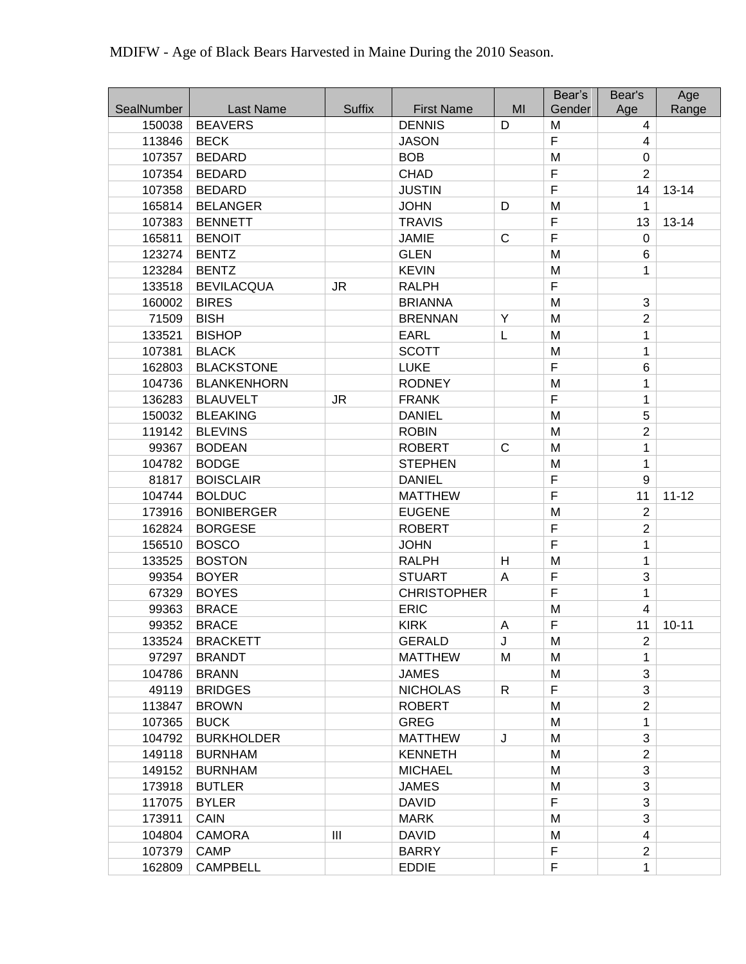|            |                    |               |                    |    | Bear's      | Bear's         | Age       |
|------------|--------------------|---------------|--------------------|----|-------------|----------------|-----------|
| SealNumber | Last Name          | <b>Suffix</b> | <b>First Name</b>  | MI | Gender      | Age            | Range     |
| 150038     | <b>BEAVERS</b>     |               | <b>DENNIS</b>      | D  | M           | $\overline{4}$ |           |
| 113846     | <b>BECK</b>        |               | <b>JASON</b>       |    | F           | 4              |           |
| 107357     | <b>BEDARD</b>      |               | <b>BOB</b>         |    | M           | $\mathbf 0$    |           |
| 107354     | <b>BEDARD</b>      |               | <b>CHAD</b>        |    | F           | $\overline{c}$ |           |
| 107358     | <b>BEDARD</b>      |               | <b>JUSTIN</b>      |    | F           | 14             | $13 - 14$ |
| 165814     | <b>BELANGER</b>    |               | <b>JOHN</b>        | D  | M           | 1              |           |
| 107383     | <b>BENNETT</b>     |               | <b>TRAVIS</b>      |    | F           | 13             | $13 - 14$ |
| 165811     | <b>BENOIT</b>      |               | <b>JAMIE</b>       | C  | F           | 0              |           |
| 123274     | <b>BENTZ</b>       |               | <b>GLEN</b>        |    | M           | 6              |           |
| 123284     | <b>BENTZ</b>       |               | <b>KEVIN</b>       |    | M           | 1              |           |
| 133518     | <b>BEVILACQUA</b>  | <b>JR</b>     | <b>RALPH</b>       |    | F           |                |           |
| 160002     | <b>BIRES</b>       |               | <b>BRIANNA</b>     |    | M           | 3              |           |
| 71509      | <b>BISH</b>        |               | <b>BRENNAN</b>     | Υ  | M           | $\overline{c}$ |           |
| 133521     | <b>BISHOP</b>      |               | <b>EARL</b>        | L  | M           | 1              |           |
| 107381     | <b>BLACK</b>       |               | <b>SCOTT</b>       |    | M           | 1              |           |
| 162803     | <b>BLACKSTONE</b>  |               | <b>LUKE</b>        |    | F           | 6              |           |
| 104736     | <b>BLANKENHORN</b> |               | <b>RODNEY</b>      |    | M           | 1              |           |
| 136283     | <b>BLAUVELT</b>    | <b>JR</b>     | <b>FRANK</b>       |    | F           | 1              |           |
| 150032     | <b>BLEAKING</b>    |               | <b>DANIEL</b>      |    | M           | 5              |           |
| 119142     | <b>BLEVINS</b>     |               | <b>ROBIN</b>       |    | M           | $\overline{2}$ |           |
| 99367      | <b>BODEAN</b>      |               | <b>ROBERT</b>      | C  | M           | 1              |           |
| 104782     | <b>BODGE</b>       |               | <b>STEPHEN</b>     |    | M           | 1              |           |
| 81817      | <b>BOISCLAIR</b>   |               | <b>DANIEL</b>      |    | $\mathsf F$ | 9              |           |
| 104744     | <b>BOLDUC</b>      |               | <b>MATTHEW</b>     |    | F           | 11             | $11 - 12$ |
| 173916     | <b>BONIBERGER</b>  |               | <b>EUGENE</b>      |    | M           | $\overline{2}$ |           |
| 162824     | <b>BORGESE</b>     |               | <b>ROBERT</b>      |    | F           | $\overline{2}$ |           |
| 156510     | <b>BOSCO</b>       |               | <b>JOHN</b>        |    | F           | 1              |           |
| 133525     | <b>BOSTON</b>      |               | <b>RALPH</b>       | H  | M           | 1              |           |
| 99354      | <b>BOYER</b>       |               | <b>STUART</b>      | A  | F           | 3              |           |
| 67329      | <b>BOYES</b>       |               | <b>CHRISTOPHER</b> |    | F           | 1              |           |
| 99363      | <b>BRACE</b>       |               | <b>ERIC</b>        |    | M           | 4              |           |
| 99352      | <b>BRACE</b>       |               | <b>KIRK</b>        | A  | F           | 11             | $10 - 11$ |
| 133524     | <b>BRACKETT</b>    |               | <b>GERALD</b>      | J  | M           | $\overline{2}$ |           |
| 97297      | <b>BRANDT</b>      |               | <b>MATTHEW</b>     | M  | M           | 1              |           |
| 104786     | <b>BRANN</b>       |               | <b>JAMES</b>       |    | M           | 3              |           |
| 49119      | <b>BRIDGES</b>     |               | <b>NICHOLAS</b>    | R  | F           | 3              |           |
| 113847     | <b>BROWN</b>       |               | <b>ROBERT</b>      |    | M           | $\overline{2}$ |           |
| 107365     | <b>BUCK</b>        |               | <b>GREG</b>        |    | М           | 1              |           |
| 104792     | <b>BURKHOLDER</b>  |               | <b>MATTHEW</b>     | J  | M           | 3              |           |
| 149118     | <b>BURNHAM</b>     |               | <b>KENNETH</b>     |    | M           | $\overline{2}$ |           |
| 149152     | <b>BURNHAM</b>     |               | <b>MICHAEL</b>     |    | M           | 3              |           |
| 173918     | <b>BUTLER</b>      |               | <b>JAMES</b>       |    | M           | 3              |           |
| 117075     | <b>BYLER</b>       |               | <b>DAVID</b>       |    | F           | 3              |           |
| 173911     | <b>CAIN</b>        |               | <b>MARK</b>        |    | M           | 3              |           |
| 104804     | <b>CAMORA</b>      | Ш             | <b>DAVID</b>       |    | M           | 4              |           |
| 107379     | <b>CAMP</b>        |               | <b>BARRY</b>       |    | F           | $\overline{2}$ |           |
| 162809     | <b>CAMPBELL</b>    |               | <b>EDDIE</b>       |    | F           | 1              |           |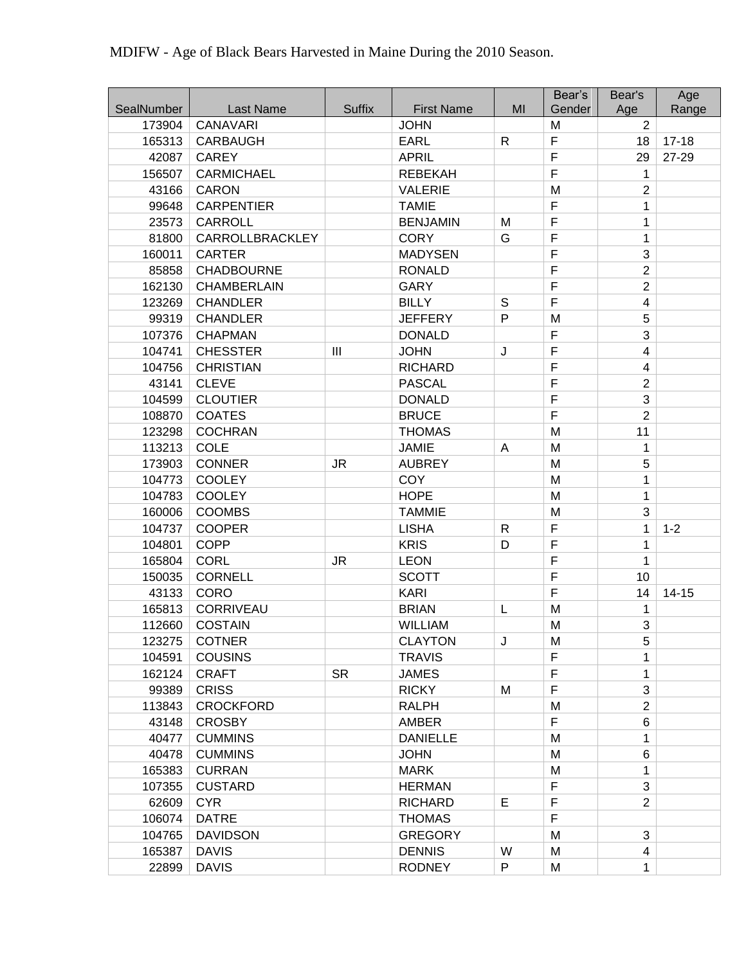|            |                    |               |                   |              | Bear's | Bear's         | Age       |
|------------|--------------------|---------------|-------------------|--------------|--------|----------------|-----------|
| SealNumber | Last Name          | <b>Suffix</b> | <b>First Name</b> | MI           | Gender | Age            | Range     |
| 173904     | <b>CANAVARI</b>    |               | <b>JOHN</b>       |              | M      | 2              |           |
| 165313     | <b>CARBAUGH</b>    |               | <b>EARL</b>       | $\mathsf{R}$ | F      | 18             | $17 - 18$ |
| 42087      | <b>CAREY</b>       |               | <b>APRIL</b>      |              | F      | 29             | 27-29     |
| 156507     | <b>CARMICHAEL</b>  |               | <b>REBEKAH</b>    |              | F      | 1              |           |
| 43166      | <b>CARON</b>       |               | <b>VALERIE</b>    |              | M      | $\mathbf{2}$   |           |
| 99648      | <b>CARPENTIER</b>  |               | <b>TAMIE</b>      |              | F      | 1              |           |
| 23573      | <b>CARROLL</b>     |               | <b>BENJAMIN</b>   | M            | F      | 1              |           |
| 81800      | CARROLLBRACKLEY    |               | <b>CORY</b>       | G            | F      | 1              |           |
| 160011     | <b>CARTER</b>      |               | <b>MADYSEN</b>    |              | F      | 3              |           |
| 85858      | <b>CHADBOURNE</b>  |               | <b>RONALD</b>     |              | F      | $\overline{2}$ |           |
| 162130     | <b>CHAMBERLAIN</b> |               | <b>GARY</b>       |              | F      | $\overline{2}$ |           |
| 123269     | <b>CHANDLER</b>    |               | <b>BILLY</b>      | S            | F      | 4              |           |
| 99319      | <b>CHANDLER</b>    |               | <b>JEFFERY</b>    | P            | M      | 5              |           |
| 107376     | <b>CHAPMAN</b>     |               | <b>DONALD</b>     |              | F      | 3              |           |
| 104741     | <b>CHESSTER</b>    | III           | <b>JOHN</b>       | J            | F      | $\overline{4}$ |           |
| 104756     | <b>CHRISTIAN</b>   |               | <b>RICHARD</b>    |              | F      | 4              |           |
| 43141      | <b>CLEVE</b>       |               | <b>PASCAL</b>     |              | F      | $\overline{2}$ |           |
| 104599     | <b>CLOUTIER</b>    |               | <b>DONALD</b>     |              | F      | 3              |           |
| 108870     | <b>COATES</b>      |               | <b>BRUCE</b>      |              | F      | $\overline{2}$ |           |
| 123298     | <b>COCHRAN</b>     |               | <b>THOMAS</b>     |              | M      | 11             |           |
| 113213     | <b>COLE</b>        |               | <b>JAMIE</b>      | A            | M      | $\mathbf{1}$   |           |
| 173903     | <b>CONNER</b>      | <b>JR</b>     | <b>AUBREY</b>     |              | M      | 5              |           |
| 104773     | <b>COOLEY</b>      |               | <b>COY</b>        |              | M      | $\mathbf{1}$   |           |
| 104783     | <b>COOLEY</b>      |               | <b>HOPE</b>       |              | M      | 1              |           |
| 160006     | <b>COOMBS</b>      |               | <b>TAMMIE</b>     |              | M      | 3              |           |
| 104737     | <b>COOPER</b>      |               | <b>LISHA</b>      | $\mathsf{R}$ | F      | 1              | $1 - 2$   |
| 104801     | <b>COPP</b>        |               | <b>KRIS</b>       | D            | F      | 1              |           |
| 165804     | <b>CORL</b>        | <b>JR</b>     | <b>LEON</b>       |              | F      | $\mathbf{1}$   |           |
| 150035     | <b>CORNELL</b>     |               | <b>SCOTT</b>      |              | F      | 10             |           |
| 43133      | <b>CORO</b>        |               | <b>KARI</b>       |              | F      | 14             | $14 - 15$ |
| 165813     | <b>CORRIVEAU</b>   |               | <b>BRIAN</b>      | L            | M      | 1              |           |
| 112660     | <b>COSTAIN</b>     |               | <b>WILLIAM</b>    |              | M      | 3              |           |
| 123275     | <b>COTNER</b>      |               | <b>CLAYTON</b>    | J            | M      | 5              |           |
| 104591     | <b>COUSINS</b>     |               | <b>TRAVIS</b>     |              | F      | 1              |           |
| 162124     | <b>CRAFT</b>       | <b>SR</b>     | <b>JAMES</b>      |              | F      | 1              |           |
| 99389      | <b>CRISS</b>       |               | <b>RICKY</b>      | M            | F      | 3              |           |
| 113843     | <b>CROCKFORD</b>   |               | <b>RALPH</b>      |              | M      | $\overline{2}$ |           |
| 43148      | <b>CROSBY</b>      |               | <b>AMBER</b>      |              | F      | 6              |           |
| 40477      | <b>CUMMINS</b>     |               | <b>DANIELLE</b>   |              | M      | 1              |           |
| 40478      | <b>CUMMINS</b>     |               | <b>JOHN</b>       |              | M      | 6              |           |
| 165383     | <b>CURRAN</b>      |               | <b>MARK</b>       |              | M      | 1              |           |
| 107355     | <b>CUSTARD</b>     |               | <b>HERMAN</b>     |              | F      | 3              |           |
| 62609      | <b>CYR</b>         |               | <b>RICHARD</b>    | E            | F      | 2              |           |
| 106074     | <b>DATRE</b>       |               | <b>THOMAS</b>     |              | F      |                |           |
| 104765     | <b>DAVIDSON</b>    |               | <b>GREGORY</b>    |              | M      | 3              |           |
| 165387     | <b>DAVIS</b>       |               | <b>DENNIS</b>     | W            | M      | 4              |           |
| 22899      | <b>DAVIS</b>       |               | <b>RODNEY</b>     | P            | M      | 1              |           |
|            |                    |               |                   |              |        |                |           |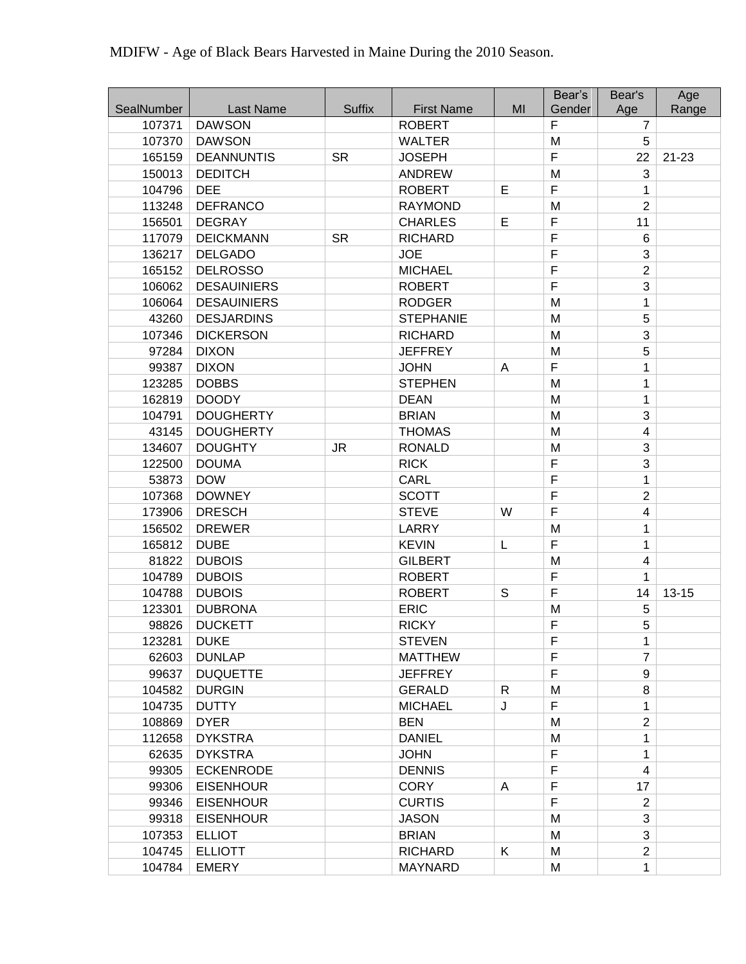|            |                    |               |                   |    | Bear's      | Bear's                  | Age       |
|------------|--------------------|---------------|-------------------|----|-------------|-------------------------|-----------|
| SealNumber | Last Name          | <b>Suffix</b> | <b>First Name</b> | MI | Gender      | Age                     | Range     |
| 107371     | <b>DAWSON</b>      |               | <b>ROBERT</b>     |    | F           | $\overline{7}$          |           |
| 107370     | <b>DAWSON</b>      |               | <b>WALTER</b>     |    | M           | 5                       |           |
| 165159     | <b>DEANNUNTIS</b>  | <b>SR</b>     | <b>JOSEPH</b>     |    | F           | 22                      | $21 - 23$ |
| 150013     | <b>DEDITCH</b>     |               | <b>ANDREW</b>     |    | M           | 3                       |           |
| 104796     | <b>DEE</b>         |               | <b>ROBERT</b>     | E  | F           | 1                       |           |
| 113248     | <b>DEFRANCO</b>    |               | <b>RAYMOND</b>    |    | M           | $\overline{2}$          |           |
| 156501     | <b>DEGRAY</b>      |               | <b>CHARLES</b>    | E  | F           | 11                      |           |
| 117079     | <b>DEICKMANN</b>   | <b>SR</b>     | <b>RICHARD</b>    |    | F           | 6                       |           |
| 136217     | <b>DELGADO</b>     |               | <b>JOE</b>        |    | F           | 3                       |           |
| 165152     | <b>DELROSSO</b>    |               | <b>MICHAEL</b>    |    | $\mathsf F$ | $\overline{2}$          |           |
| 106062     | <b>DESAUINIERS</b> |               | <b>ROBERT</b>     |    | F           | 3                       |           |
| 106064     | <b>DESAUINIERS</b> |               | <b>RODGER</b>     |    | M           | 1                       |           |
| 43260      | <b>DESJARDINS</b>  |               | <b>STEPHANIE</b>  |    | M           | 5                       |           |
| 107346     | <b>DICKERSON</b>   |               | <b>RICHARD</b>    |    | M           | 3                       |           |
| 97284      | <b>DIXON</b>       |               | <b>JEFFREY</b>    |    | M           | 5                       |           |
| 99387      | <b>DIXON</b>       |               | <b>JOHN</b>       | A  | F           | 1                       |           |
| 123285     | <b>DOBBS</b>       |               | <b>STEPHEN</b>    |    | M           | 1                       |           |
| 162819     | <b>DOODY</b>       |               | <b>DEAN</b>       |    | M           | $\mathbf{1}$            |           |
| 104791     | <b>DOUGHERTY</b>   |               | <b>BRIAN</b>      |    | M           | 3                       |           |
| 43145      | <b>DOUGHERTY</b>   |               | <b>THOMAS</b>     |    | M           | 4                       |           |
| 134607     | <b>DOUGHTY</b>     | <b>JR</b>     | <b>RONALD</b>     |    | M           | 3                       |           |
| 122500     | <b>DOUMA</b>       |               | <b>RICK</b>       |    | F           | 3                       |           |
| 53873      | <b>DOW</b>         |               | <b>CARL</b>       |    | F           | $\mathbf{1}$            |           |
| 107368     | <b>DOWNEY</b>      |               | <b>SCOTT</b>      |    | F           | $\overline{2}$          |           |
| 173906     | <b>DRESCH</b>      |               | <b>STEVE</b>      | W  | F           | 4                       |           |
| 156502     | <b>DREWER</b>      |               | <b>LARRY</b>      |    | M           | 1                       |           |
| 165812     | <b>DUBE</b>        |               | <b>KEVIN</b>      | L  | F           | 1                       |           |
| 81822      | <b>DUBOIS</b>      |               | <b>GILBERT</b>    |    | M           | $\overline{\mathbf{4}}$ |           |
| 104789     | <b>DUBOIS</b>      |               | <b>ROBERT</b>     |    | F           | 1                       |           |
| 104788     | <b>DUBOIS</b>      |               | <b>ROBERT</b>     | S  | F           | 14                      | $13 - 15$ |
| 123301     | <b>DUBRONA</b>     |               | <b>ERIC</b>       |    | M           | 5                       |           |
| 98826      | <b>DUCKETT</b>     |               | <b>RICKY</b>      |    | F           | 5                       |           |
| 123281     | <b>DUKE</b>        |               | <b>STEVEN</b>     |    | F           | $\mathbf 1$             |           |
| 62603      | <b>DUNLAP</b>      |               | <b>MATTHEW</b>    |    | F           | $\overline{7}$          |           |
| 99637      | <b>DUQUETTE</b>    |               | <b>JEFFREY</b>    |    | F           | 9                       |           |
| 104582     | <b>DURGIN</b>      |               | <b>GERALD</b>     | R  | M           | 8                       |           |
| 104735     | <b>DUTTY</b>       |               | <b>MICHAEL</b>    | J  | F           | 1                       |           |
| 108869     | <b>DYER</b>        |               | <b>BEN</b>        |    | M           | $\overline{2}$          |           |
| 112658     | <b>DYKSTRA</b>     |               | <b>DANIEL</b>     |    | M           | 1                       |           |
| 62635      | <b>DYKSTRA</b>     |               | <b>JOHN</b>       |    | F           | 1                       |           |
| 99305      | <b>ECKENRODE</b>   |               | <b>DENNIS</b>     |    | F           | 4                       |           |
| 99306      | <b>EISENHOUR</b>   |               | <b>CORY</b>       | A  | F           | 17                      |           |
| 99346      | <b>EISENHOUR</b>   |               | <b>CURTIS</b>     |    | F           | $\overline{2}$          |           |
| 99318      | <b>EISENHOUR</b>   |               | <b>JASON</b>      |    | M           | 3                       |           |
| 107353     | <b>ELLIOT</b>      |               | <b>BRIAN</b>      |    | M           | 3                       |           |
| 104745     | <b>ELLIOTT</b>     |               | <b>RICHARD</b>    | Κ  | M           | $\overline{2}$          |           |
| 104784     | <b>EMERY</b>       |               | <b>MAYNARD</b>    |    | M           | $\mathbf{1}$            |           |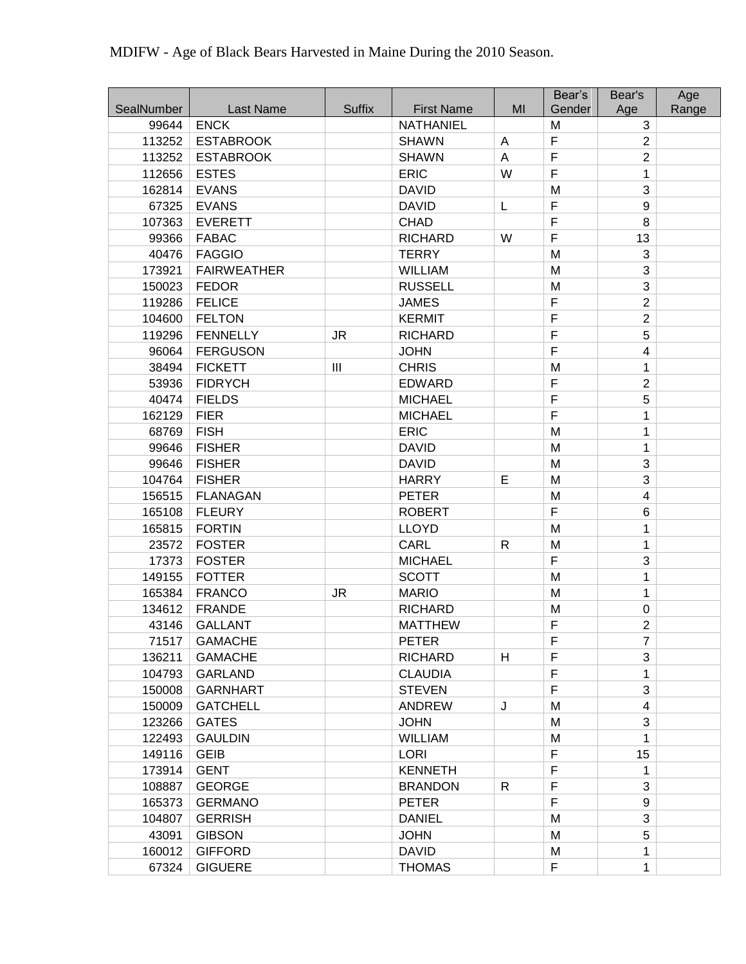| SealNumber | <b>Last Name</b>   | <b>Suffix</b>  | <b>First Name</b> | MI           | Bear's<br>Gender | Bear's<br>Age           | Age<br>Range |
|------------|--------------------|----------------|-------------------|--------------|------------------|-------------------------|--------------|
| 99644      | <b>ENCK</b>        |                | <b>NATHANIEL</b>  |              | M                | 3                       |              |
| 113252     | <b>ESTABROOK</b>   |                | <b>SHAWN</b>      | A            | $\mathsf F$      | $\overline{2}$          |              |
| 113252     | <b>ESTABROOK</b>   |                | <b>SHAWN</b>      | A            | $\overline{F}$   | $\overline{2}$          |              |
| 112656     | <b>ESTES</b>       |                | <b>ERIC</b>       | W            | $\overline{F}$   | 1                       |              |
| 162814     | <b>EVANS</b>       |                | <b>DAVID</b>      |              | M                | 3                       |              |
| 67325      | <b>EVANS</b>       |                | <b>DAVID</b>      | L            | $\mathsf F$      | 9                       |              |
| 107363     | <b>EVERETT</b>     |                | <b>CHAD</b>       |              | F                | 8                       |              |
| 99366      | <b>FABAC</b>       |                | <b>RICHARD</b>    | W            | $\overline{F}$   | 13                      |              |
| 40476      | <b>FAGGIO</b>      |                | <b>TERRY</b>      |              | M                | 3                       |              |
| 173921     | <b>FAIRWEATHER</b> |                | <b>WILLIAM</b>    |              | M                | 3                       |              |
| 150023     | <b>FEDOR</b>       |                | <b>RUSSELL</b>    |              | M                | 3                       |              |
| 119286     | <b>FELICE</b>      |                | <b>JAMES</b>      |              | $\mathsf F$      | $\overline{2}$          |              |
| 104600     | <b>FELTON</b>      |                | <b>KERMIT</b>     |              | $\overline{F}$   | $\overline{2}$          |              |
| 119296     | <b>FENNELLY</b>    | <b>JR</b>      | <b>RICHARD</b>    |              | $\overline{F}$   | 5                       |              |
| 96064      | <b>FERGUSON</b>    |                | <b>JOHN</b>       |              | F                | $\overline{\mathbf{4}}$ |              |
| 38494      | <b>FICKETT</b>     | $\mathbf{III}$ | <b>CHRIS</b>      |              | M                | 1                       |              |
| 53936      | <b>FIDRYCH</b>     |                | <b>EDWARD</b>     |              | F                | $\overline{2}$          |              |
| 40474      | <b>FIELDS</b>      |                | <b>MICHAEL</b>    |              | $\mathsf F$      | 5                       |              |
| 162129     | <b>FIER</b>        |                | <b>MICHAEL</b>    |              | $\mathsf F$      | 1                       |              |
| 68769      | <b>FISH</b>        |                | <b>ERIC</b>       |              | M                | 1                       |              |
| 99646      | <b>FISHER</b>      |                | <b>DAVID</b>      |              | M                | 1                       |              |
| 99646      | <b>FISHER</b>      |                | <b>DAVID</b>      |              | M                | 3                       |              |
| 104764     | <b>FISHER</b>      |                | <b>HARRY</b>      | E            | M                | 3                       |              |
| 156515     | <b>FLANAGAN</b>    |                | <b>PETER</b>      |              | M                | 4                       |              |
| 165108     | <b>FLEURY</b>      |                | <b>ROBERT</b>     |              | F                | 6                       |              |
| 165815     | <b>FORTIN</b>      |                | <b>LLOYD</b>      |              | M                | 1                       |              |
| 23572      | <b>FOSTER</b>      |                | CARL              | $\mathsf{R}$ | M                | 1                       |              |
| 17373      | <b>FOSTER</b>      |                | <b>MICHAEL</b>    |              | F                | 3                       |              |
| 149155     | <b>FOTTER</b>      |                | <b>SCOTT</b>      |              | M                | 1                       |              |
| 165384     | <b>FRANCO</b>      | <b>JR</b>      | <b>MARIO</b>      |              | M                | 1                       |              |
| 134612     | <b>FRANDE</b>      |                | <b>RICHARD</b>    |              | M                | $\boldsymbol{0}$        |              |
| 43146      | <b>GALLANT</b>     |                | <b>MATTHEW</b>    |              | F                | $\overline{2}$          |              |
| 71517      | <b>GAMACHE</b>     |                | <b>PETER</b>      |              | F                | 7                       |              |
| 136211     | <b>GAMACHE</b>     |                | <b>RICHARD</b>    | H            | F                | 3                       |              |
| 104793     | <b>GARLAND</b>     |                | <b>CLAUDIA</b>    |              | F                | 1                       |              |
| 150008     | <b>GARNHART</b>    |                | <b>STEVEN</b>     |              | F                | 3                       |              |
| 150009     | <b>GATCHELL</b>    |                | <b>ANDREW</b>     | J            | M                | $\overline{4}$          |              |
| 123266     | <b>GATES</b>       |                | <b>JOHN</b>       |              | M                | 3                       |              |
| 122493     | <b>GAULDIN</b>     |                | <b>WILLIAM</b>    |              | M                | 1                       |              |
| 149116     | <b>GEIB</b>        |                | <b>LORI</b>       |              | F                | 15                      |              |
| 173914     | <b>GENT</b>        |                | <b>KENNETH</b>    |              | $\mathsf F$      | 1                       |              |
| 108887     | <b>GEORGE</b>      |                | <b>BRANDON</b>    | $\mathsf{R}$ | F                | 3                       |              |
| 165373     | <b>GERMANO</b>     |                | <b>PETER</b>      |              | F                | 9                       |              |
| 104807     | <b>GERRISH</b>     |                | <b>DANIEL</b>     |              | M                | 3                       |              |
| 43091      | <b>GIBSON</b>      |                | <b>JOHN</b>       |              | M                | 5                       |              |
| 160012     | <b>GIFFORD</b>     |                | <b>DAVID</b>      |              | M                | 1                       |              |
| 67324      | <b>GIGUERE</b>     |                | <b>THOMAS</b>     |              | $\mathsf F$      | 1                       |              |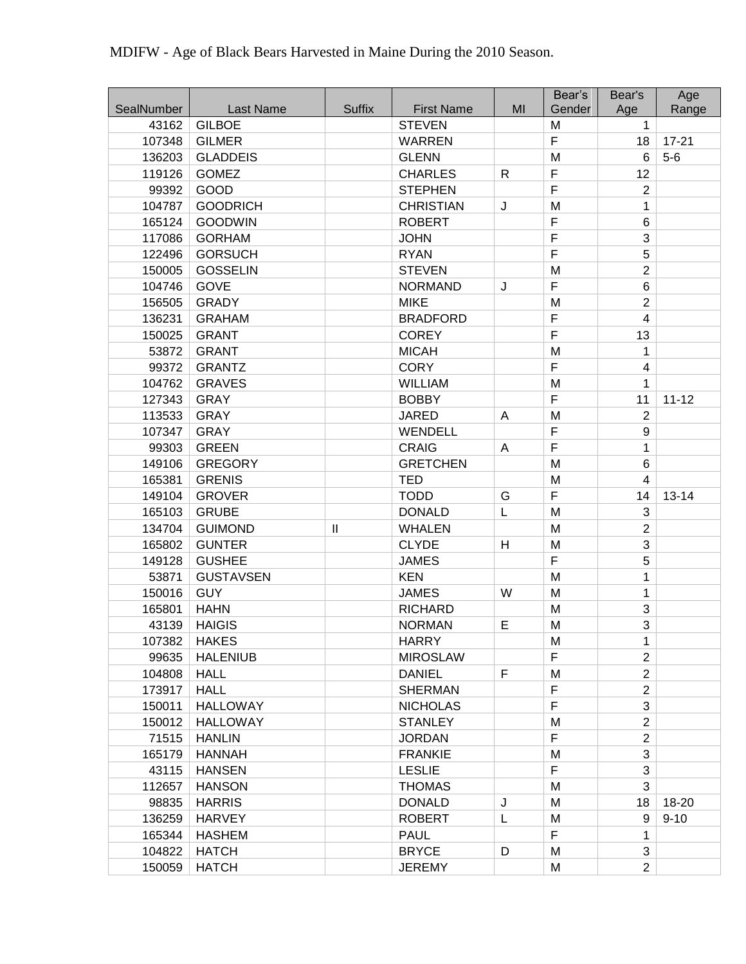|            |                  |                            |                   |              | Bear's         | Bear's                  | Age       |
|------------|------------------|----------------------------|-------------------|--------------|----------------|-------------------------|-----------|
| SealNumber | Last Name        | <b>Suffix</b>              | <b>First Name</b> | MI           | Gender         | Age                     | Range     |
| 43162      | <b>GILBOE</b>    |                            | <b>STEVEN</b>     |              | M              | 1                       |           |
| 107348     | <b>GILMER</b>    |                            | <b>WARREN</b>     |              | $\mathsf F$    | 18                      | $17 - 21$ |
| 136203     | <b>GLADDEIS</b>  |                            | <b>GLENN</b>      |              | M              | 6                       | $5-6$     |
| 119126     | <b>GOMEZ</b>     |                            | <b>CHARLES</b>    | $\mathsf{R}$ | $\overline{F}$ | 12                      |           |
| 99392      | GOOD             |                            | <b>STEPHEN</b>    |              | $\overline{F}$ | $\overline{2}$          |           |
| 104787     | <b>GOODRICH</b>  |                            | <b>CHRISTIAN</b>  | J            | M              | 1                       |           |
| 165124     | <b>GOODWIN</b>   |                            | <b>ROBERT</b>     |              | F              | 6                       |           |
| 117086     | <b>GORHAM</b>    |                            | <b>JOHN</b>       |              | F              | 3                       |           |
| 122496     | <b>GORSUCH</b>   |                            | <b>RYAN</b>       |              | $\overline{F}$ | 5                       |           |
| 150005     | <b>GOSSELIN</b>  |                            | <b>STEVEN</b>     |              | M              | $\overline{2}$          |           |
| 104746     | <b>GOVE</b>      |                            | <b>NORMAND</b>    | J            | F              | 6                       |           |
| 156505     | <b>GRADY</b>     |                            | <b>MIKE</b>       |              | M              | $\overline{2}$          |           |
| 136231     | <b>GRAHAM</b>    |                            | <b>BRADFORD</b>   |              | $\mathsf F$    | $\overline{\mathbf{4}}$ |           |
| 150025     | <b>GRANT</b>     |                            | <b>COREY</b>      |              | $\overline{F}$ | 13                      |           |
| 53872      | <b>GRANT</b>     |                            | <b>MICAH</b>      |              | M              | 1                       |           |
| 99372      | <b>GRANTZ</b>    |                            | <b>CORY</b>       |              | F              | 4                       |           |
| 104762     | <b>GRAVES</b>    |                            | <b>WILLIAM</b>    |              | M              | 1                       |           |
| 127343     | <b>GRAY</b>      |                            | <b>BOBBY</b>      |              | F              | 11                      | $11 - 12$ |
| 113533     | <b>GRAY</b>      |                            | <b>JARED</b>      | A            | M              | $\overline{2}$          |           |
| 107347     | <b>GRAY</b>      |                            | WENDELL           |              | F              | 9                       |           |
| 99303      | <b>GREEN</b>     |                            | <b>CRAIG</b>      | A            | $\mathsf F$    | 1                       |           |
| 149106     | <b>GREGORY</b>   |                            | <b>GRETCHEN</b>   |              | M              | 6                       |           |
| 165381     | <b>GRENIS</b>    |                            | <b>TED</b>        |              | M              | 4                       |           |
| 149104     | <b>GROVER</b>    |                            | <b>TODD</b>       | G            | $\mathsf F$    | 14                      | $13 - 14$ |
| 165103     | <b>GRUBE</b>     |                            | <b>DONALD</b>     | L            | M              | 3                       |           |
| 134704     | <b>GUIMOND</b>   | $\mathop{\rm II}\nolimits$ | <b>WHALEN</b>     |              | M              | $\overline{2}$          |           |
| 165802     | <b>GUNTER</b>    |                            | <b>CLYDE</b>      | Н            | M              | 3                       |           |
| 149128     | <b>GUSHEE</b>    |                            | <b>JAMES</b>      |              | $\overline{F}$ | 5                       |           |
| 53871      | <b>GUSTAVSEN</b> |                            | <b>KEN</b>        |              | M              | 1                       |           |
| 150016     | <b>GUY</b>       |                            | <b>JAMES</b>      | W            | M              | 1                       |           |
| 165801     | <b>HAHN</b>      |                            | <b>RICHARD</b>    |              | M              | 3                       |           |
| 43139      | <b>HAIGIS</b>    |                            | <b>NORMAN</b>     | E            | M              | 3                       |           |
| 107382     | <b>HAKES</b>     |                            | <b>HARRY</b>      |              | M              | 1                       |           |
| 99635      | <b>HALENIUB</b>  |                            | <b>MIROSLAW</b>   |              | F              | $\overline{2}$          |           |
| 104808     | <b>HALL</b>      |                            | <b>DANIEL</b>     | F            | M              | $\overline{2}$          |           |
| 173917     | <b>HALL</b>      |                            | <b>SHERMAN</b>    |              | $\mathsf F$    | $\overline{2}$          |           |
| 150011     | <b>HALLOWAY</b>  |                            | <b>NICHOLAS</b>   |              | $\mathsf F$    | 3                       |           |
| 150012     | <b>HALLOWAY</b>  |                            | <b>STANLEY</b>    |              | M              | $\overline{2}$          |           |
| 71515      | <b>HANLIN</b>    |                            | <b>JORDAN</b>     |              | F              | $\overline{2}$          |           |
| 165179     | <b>HANNAH</b>    |                            | <b>FRANKIE</b>    |              | M              | 3                       |           |
| 43115      | <b>HANSEN</b>    |                            | <b>LESLIE</b>     |              | $\mathsf F$    | 3                       |           |
| 112657     | <b>HANSON</b>    |                            | <b>THOMAS</b>     |              | M              | 3                       |           |
| 98835      | <b>HARRIS</b>    |                            | <b>DONALD</b>     | J            | M              | 18                      | 18-20     |
| 136259     | <b>HARVEY</b>    |                            | <b>ROBERT</b>     | L            | M              | 9                       | $9 - 10$  |
| 165344     | <b>HASHEM</b>    |                            | <b>PAUL</b>       |              | $\mathsf F$    | 1                       |           |
| 104822     | <b>HATCH</b>     |                            | <b>BRYCE</b>      | D            | M              | 3                       |           |
| 150059     | <b>HATCH</b>     |                            | <b>JEREMY</b>     |              | M              | $\overline{2}$          |           |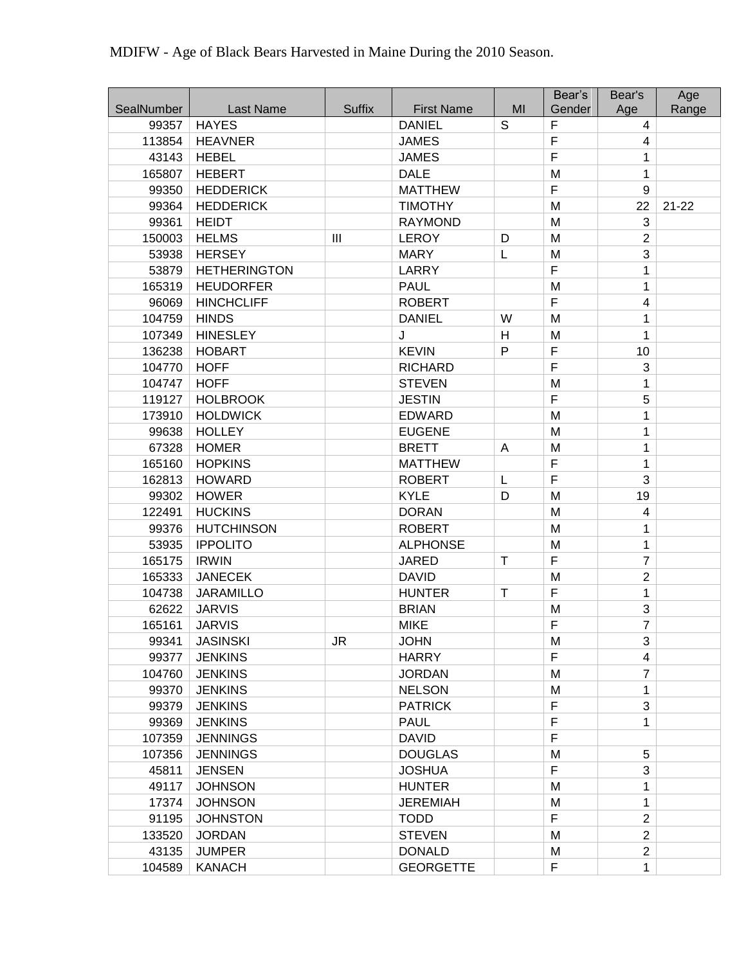|            |                     |               |                   |    | Bear's      | Bear's         | Age       |
|------------|---------------------|---------------|-------------------|----|-------------|----------------|-----------|
| SealNumber | Last Name           | <b>Suffix</b> | <b>First Name</b> | MI | Gender      | Age            | Range     |
| 99357      | <b>HAYES</b>        |               | <b>DANIEL</b>     | S  | F           | $\overline{4}$ |           |
| 113854     | <b>HEAVNER</b>      |               | <b>JAMES</b>      |    | F           | 4              |           |
| 43143      | <b>HEBEL</b>        |               | <b>JAMES</b>      |    | F           | 1              |           |
| 165807     | <b>HEBERT</b>       |               | <b>DALE</b>       |    | M           | 1              |           |
| 99350      | <b>HEDDERICK</b>    |               | <b>MATTHEW</b>    |    | F           | 9              |           |
| 99364      | <b>HEDDERICK</b>    |               | <b>TIMOTHY</b>    |    | M           | 22             | $21 - 22$ |
| 99361      | <b>HEIDT</b>        |               | <b>RAYMOND</b>    |    | M           | 3              |           |
| 150003     | <b>HELMS</b>        | III           | <b>LEROY</b>      | D  | M           | $\overline{2}$ |           |
| 53938      | <b>HERSEY</b>       |               | <b>MARY</b>       | L  | M           | 3              |           |
| 53879      | <b>HETHERINGTON</b> |               | LARRY             |    | F           | 1              |           |
| 165319     | <b>HEUDORFER</b>    |               | <b>PAUL</b>       |    | M           | 1              |           |
| 96069      | <b>HINCHCLIFF</b>   |               | <b>ROBERT</b>     |    | F           | 4              |           |
| 104759     | <b>HINDS</b>        |               | <b>DANIEL</b>     | W  | M           | 1              |           |
| 107349     | <b>HINESLEY</b>     |               | J                 | H  | M           | 1              |           |
| 136238     | <b>HOBART</b>       |               | <b>KEVIN</b>      | P  | F           | 10             |           |
| 104770     | <b>HOFF</b>         |               | <b>RICHARD</b>    |    | F           | 3              |           |
| 104747     | <b>HOFF</b>         |               | <b>STEVEN</b>     |    | M           | 1              |           |
| 119127     | <b>HOLBROOK</b>     |               | <b>JESTIN</b>     |    | F           | 5              |           |
| 173910     | <b>HOLDWICK</b>     |               | <b>EDWARD</b>     |    | M           | 1              |           |
| 99638      | <b>HOLLEY</b>       |               | <b>EUGENE</b>     |    | M           | 1              |           |
| 67328      | <b>HOMER</b>        |               | <b>BRETT</b>      | A  | M           | 1              |           |
| 165160     | <b>HOPKINS</b>      |               | <b>MATTHEW</b>    |    | F           | 1              |           |
| 162813     | <b>HOWARD</b>       |               | <b>ROBERT</b>     | L  | F           | 3              |           |
| 99302      | <b>HOWER</b>        |               | <b>KYLE</b>       | D  | M           | 19             |           |
| 122491     | <b>HUCKINS</b>      |               | <b>DORAN</b>      |    | M           | 4              |           |
| 99376      | <b>HUTCHINSON</b>   |               | <b>ROBERT</b>     |    | M           | 1              |           |
| 53935      | <b>IPPOLITO</b>     |               | <b>ALPHONSE</b>   |    | M           | 1              |           |
| 165175     | <b>IRWIN</b>        |               | <b>JARED</b>      | T  | F           | $\overline{7}$ |           |
| 165333     | <b>JANECEK</b>      |               | <b>DAVID</b>      |    | M           | $\overline{c}$ |           |
| 104738     | <b>JARAMILLO</b>    |               | <b>HUNTER</b>     | Τ  | F           | 1              |           |
| 62622      | <b>JARVIS</b>       |               | <b>BRIAN</b>      |    | M           | 3              |           |
| 165161     | <b>JARVIS</b>       |               | <b>MIKE</b>       |    | F           | $\overline{7}$ |           |
| 99341      | <b>JASINSKI</b>     | <b>JR</b>     | <b>JOHN</b>       |    | M           | 3              |           |
| 99377      | <b>JENKINS</b>      |               | <b>HARRY</b>      |    | F           | 4              |           |
| 104760     | <b>JENKINS</b>      |               | <b>JORDAN</b>     |    | M           | 7              |           |
| 99370      | <b>JENKINS</b>      |               | <b>NELSON</b>     |    | M           | 1              |           |
| 99379      | <b>JENKINS</b>      |               | <b>PATRICK</b>    |    | F           | 3              |           |
| 99369      | <b>JENKINS</b>      |               | <b>PAUL</b>       |    | $\mathsf F$ | 1              |           |
| 107359     | <b>JENNINGS</b>     |               | <b>DAVID</b>      |    | F           |                |           |
| 107356     | <b>JENNINGS</b>     |               | <b>DOUGLAS</b>    |    | M           | 5              |           |
| 45811      | <b>JENSEN</b>       |               | <b>JOSHUA</b>     |    | F           | 3              |           |
| 49117      | <b>JOHNSON</b>      |               | <b>HUNTER</b>     |    | M           | 1              |           |
| 17374      | <b>JOHNSON</b>      |               | <b>JEREMIAH</b>   |    | M           | 1              |           |
| 91195      | <b>JOHNSTON</b>     |               | <b>TODD</b>       |    | F           | $\overline{2}$ |           |
| 133520     | <b>JORDAN</b>       |               | <b>STEVEN</b>     |    | M           | $\overline{2}$ |           |
| 43135      | <b>JUMPER</b>       |               | <b>DONALD</b>     |    | M           | $\overline{c}$ |           |
| 104589     | <b>KANACH</b>       |               | <b>GEORGETTE</b>  |    | F           | 1              |           |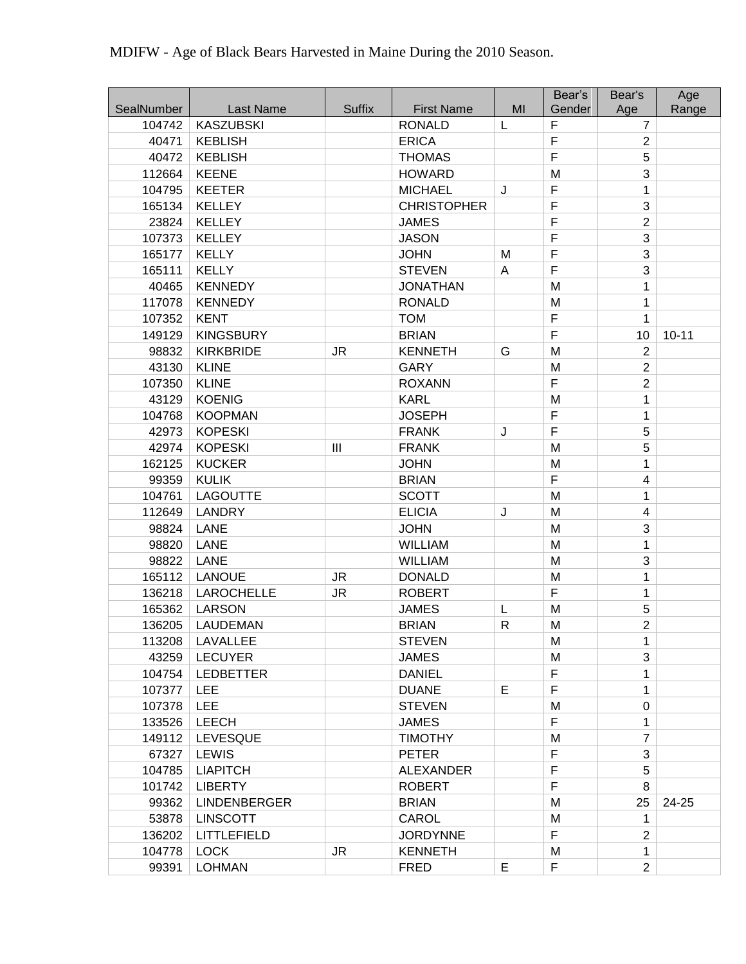| MDIFW - Age of Black Bears Harvested in Maine During the 2010 Season. |  |  |  |  |  |
|-----------------------------------------------------------------------|--|--|--|--|--|
|-----------------------------------------------------------------------|--|--|--|--|--|

| SealNumber | <b>Last Name</b>    | <b>Suffix</b>                         | <b>First Name</b>  | MI           | Bear's<br>Gender | Bear's<br>Age  | Age<br>Range |
|------------|---------------------|---------------------------------------|--------------------|--------------|------------------|----------------|--------------|
| 104742     | <b>KASZUBSKI</b>    |                                       | <b>RONALD</b>      | L            | F                | $\overline{7}$ |              |
| 40471      | <b>KEBLISH</b>      |                                       | <b>ERICA</b>       |              | $\mathsf F$      | $\overline{2}$ |              |
| 40472      | <b>KEBLISH</b>      |                                       | <b>THOMAS</b>      |              | F                | 5              |              |
| 112664     | <b>KEENE</b>        |                                       | <b>HOWARD</b>      |              | M                | 3              |              |
| 104795     | <b>KEETER</b>       |                                       | <b>MICHAEL</b>     | J            | F                | 1              |              |
| 165134     | <b>KELLEY</b>       |                                       | <b>CHRISTOPHER</b> |              | $\mathsf F$      | 3              |              |
| 23824      | <b>KELLEY</b>       |                                       | <b>JAMES</b>       |              | $\mathsf F$      | $\overline{2}$ |              |
| 107373     | <b>KELLEY</b>       |                                       | <b>JASON</b>       |              | F                | 3              |              |
| 165177     | <b>KELLY</b>        |                                       | <b>JOHN</b>        | M            | $\mathsf F$      | 3              |              |
| 165111     | <b>KELLY</b>        |                                       | <b>STEVEN</b>      | A            | $\mathsf F$      | 3              |              |
| 40465      | <b>KENNEDY</b>      |                                       | <b>JONATHAN</b>    |              | M                | 1              |              |
| 117078     | <b>KENNEDY</b>      |                                       | <b>RONALD</b>      |              | M                | 1              |              |
| 107352     | <b>KENT</b>         |                                       | <b>TOM</b>         |              | $\overline{F}$   | 1              |              |
| 149129     | <b>KINGSBURY</b>    |                                       | <b>BRIAN</b>       |              | $\overline{F}$   | 10             | $10 - 11$    |
| 98832      | <b>KIRKBRIDE</b>    | <b>JR</b>                             | <b>KENNETH</b>     | G            | M                | $\overline{2}$ |              |
| 43130      | <b>KLINE</b>        |                                       | <b>GARY</b>        |              | M                | $\overline{2}$ |              |
| 107350     | <b>KLINE</b>        |                                       | <b>ROXANN</b>      |              | F                | $\overline{2}$ |              |
| 43129      | <b>KOENIG</b>       |                                       | <b>KARL</b>        |              | M                | $\mathbf{1}$   |              |
| 104768     | <b>KOOPMAN</b>      |                                       | <b>JOSEPH</b>      |              | F                | 1              |              |
| 42973      | <b>KOPESKI</b>      |                                       | <b>FRANK</b>       | J            | F                | 5              |              |
| 42974      | <b>KOPESKI</b>      | $\begin{array}{c} \hline \end{array}$ | <b>FRANK</b>       |              | M                | 5              |              |
| 162125     | <b>KUCKER</b>       |                                       | <b>JOHN</b>        |              | M                | 1              |              |
| 99359      | <b>KULIK</b>        |                                       | <b>BRIAN</b>       |              | F                | 4              |              |
| 104761     | <b>LAGOUTTE</b>     |                                       | <b>SCOTT</b>       |              | M                | 1              |              |
| 112649     | <b>LANDRY</b>       |                                       | <b>ELICIA</b>      | J            | M                | 4              |              |
| 98824      | <b>LANE</b>         |                                       | <b>JOHN</b>        |              | M                | 3              |              |
| 98820      | <b>LANE</b>         |                                       | <b>WILLIAM</b>     |              | M                | 1              |              |
| 98822      | <b>LANE</b>         |                                       | <b>WILLIAM</b>     |              | M                | 3              |              |
| 165112     | <b>LANOUE</b>       | <b>JR</b>                             | <b>DONALD</b>      |              | M                | 1              |              |
| 136218     | <b>LAROCHELLE</b>   | <b>JR</b>                             | <b>ROBERT</b>      |              | $\mathsf F$      | 1              |              |
| 165362     | <b>LARSON</b>       |                                       | <b>JAMES</b>       | L            | M                | 5              |              |
| 136205     | LAUDEMAN            |                                       | <b>BRIAN</b>       | $\mathsf{R}$ | M                | $\overline{2}$ |              |
| 113208     | LAVALLEE            |                                       | <b>STEVEN</b>      |              | M                | 1              |              |
| 43259      | <b>LECUYER</b>      |                                       | <b>JAMES</b>       |              | M                | 3              |              |
| 104754     | <b>LEDBETTER</b>    |                                       | <b>DANIEL</b>      |              | $\mathsf F$      | 1              |              |
| 107377     | <b>LEE</b>          |                                       | <b>DUANE</b>       | Е            | F                | 1              |              |
| 107378     | <b>LEE</b>          |                                       | <b>STEVEN</b>      |              | M                | 0              |              |
| 133526     | <b>LEECH</b>        |                                       | <b>JAMES</b>       |              | $\mathsf F$      | 1              |              |
| 149112     | <b>LEVESQUE</b>     |                                       | <b>TIMOTHY</b>     |              | M                | $\overline{7}$ |              |
| 67327      | <b>LEWIS</b>        |                                       | <b>PETER</b>       |              | $\mathsf F$      | 3              |              |
| 104785     | <b>LIAPITCH</b>     |                                       | <b>ALEXANDER</b>   |              | $\mathsf F$      | 5              |              |
| 101742     | <b>LIBERTY</b>      |                                       | <b>ROBERT</b>      |              | $\mathsf F$      | 8              |              |
| 99362      | <b>LINDENBERGER</b> |                                       | <b>BRIAN</b>       |              | M                | 25             | 24-25        |
| 53878      | <b>LINSCOTT</b>     |                                       | CAROL              |              | M                | 1              |              |
| 136202     | LITTLEFIELD         |                                       | <b>JORDYNNE</b>    |              | F                | $\overline{2}$ |              |
| 104778     | <b>LOCK</b>         | <b>JR</b>                             | <b>KENNETH</b>     |              | M                | 1              |              |
| 99391      | <b>LOHMAN</b>       |                                       | <b>FRED</b>        | E            | $\mathsf F$      | $\overline{2}$ |              |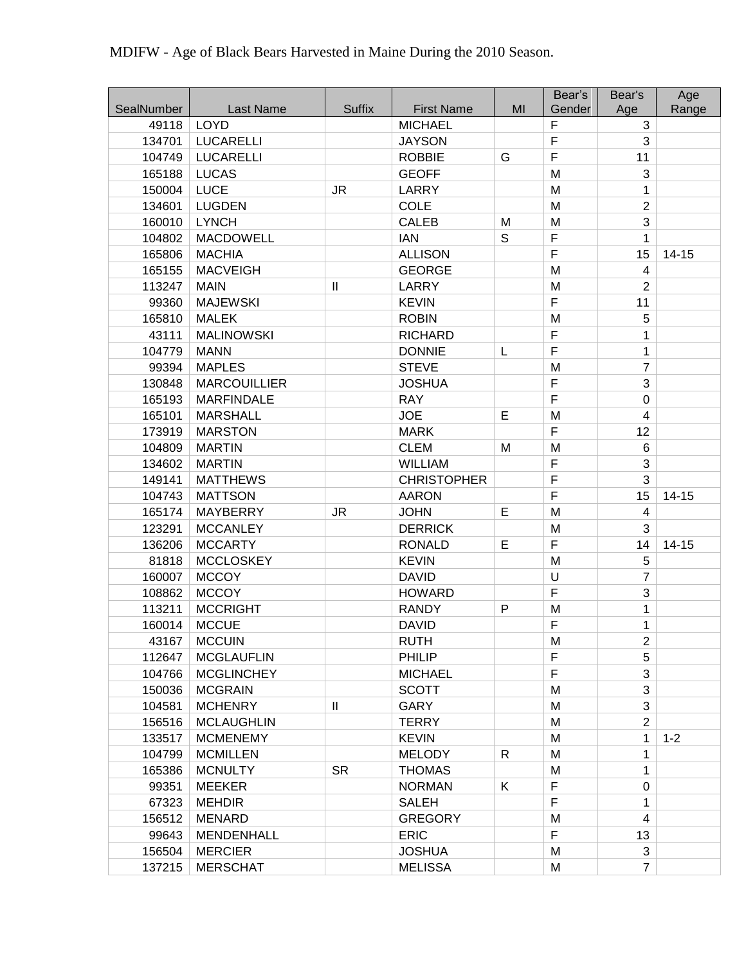|                     |                                   |                            |                                     |              | Bear's           | Bear's              | Age       |
|---------------------|-----------------------------------|----------------------------|-------------------------------------|--------------|------------------|---------------------|-----------|
| SealNumber<br>49118 | <b>Last Name</b><br><b>LOYD</b>   | <b>Suffix</b>              | <b>First Name</b><br><b>MICHAEL</b> | MI           | Gender<br>F      | Age<br>3            | Range     |
| 134701              | <b>LUCARELLI</b>                  |                            | <b>JAYSON</b>                       |              | $\mathsf F$      | 3                   |           |
| 104749              | <b>LUCARELLI</b>                  |                            | <b>ROBBIE</b>                       | G            | F                | 11                  |           |
| 165188              | <b>LUCAS</b>                      |                            | <b>GEOFF</b>                        |              | M                | 3                   |           |
| 150004              | <b>LUCE</b>                       | <b>JR</b>                  | <b>LARRY</b>                        |              | M                | 1                   |           |
| 134601              | <b>LUGDEN</b>                     |                            | <b>COLE</b>                         |              | M                | $\overline{2}$      |           |
| 160010              | <b>LYNCH</b>                      |                            | <b>CALEB</b>                        | M            | M                | 3                   |           |
| 104802              | MACDOWELL                         |                            | <b>IAN</b>                          | S            | F                | 1                   |           |
| 165806              | <b>MACHIA</b>                     |                            | <b>ALLISON</b>                      |              | $\overline{F}$   | 15                  |           |
| 165155              | <b>MACVEIGH</b>                   |                            | <b>GEORGE</b>                       |              | M                | 4                   | $14 - 15$ |
| 113247              | <b>MAIN</b>                       | $\mathbf{II}$              | <b>LARRY</b>                        |              | M                | $\overline{2}$      |           |
| 99360               | <b>MAJEWSKI</b>                   |                            | <b>KEVIN</b>                        |              | $\mathsf F$      | 11                  |           |
|                     |                                   |                            | <b>ROBIN</b>                        |              | M                | 5                   |           |
| 165810<br>43111     | <b>MALEK</b><br><b>MALINOWSKI</b> |                            | <b>RICHARD</b>                      |              | $\overline{F}$   | 1                   |           |
|                     |                                   |                            |                                     |              | F                |                     |           |
| 104779              | <b>MANN</b><br><b>MAPLES</b>      |                            | <b>DONNIE</b><br><b>STEVE</b>       | L            |                  | 1<br>$\overline{7}$ |           |
| 99394               | <b>MARCOUILLIER</b>               |                            |                                     |              | M<br>F           | 3                   |           |
| 130848              |                                   |                            | <b>JOSHUA</b>                       |              | $\overline{F}$   | $\mathbf 0$         |           |
| 165193              | <b>MARFINDALE</b>                 |                            | <b>RAY</b><br><b>JOE</b>            | $\mathsf E$  | M                | 4                   |           |
| 165101              | <b>MARSHALL</b>                   |                            |                                     |              | F                | 12                  |           |
| 173919              | <b>MARSTON</b>                    |                            | <b>MARK</b>                         |              |                  |                     |           |
| 104809              | <b>MARTIN</b>                     |                            | <b>CLEM</b>                         | M            | M<br>$\mathsf F$ | 6                   |           |
| 134602              | <b>MARTIN</b>                     |                            | <b>WILLIAM</b>                      |              | $\mathsf F$      | 3<br>3              |           |
| 149141              | <b>MATTHEWS</b>                   |                            | <b>CHRISTOPHER</b>                  |              | $\mathsf F$      |                     |           |
| 104743              | <b>MATTSON</b>                    |                            | <b>AARON</b>                        | Е            |                  | 15<br>4             | $14 - 15$ |
| 165174              | MAYBERRY                          | <b>JR</b>                  | <b>JOHN</b>                         |              | M                | 3                   |           |
| 123291              | <b>MCCANLEY</b><br><b>MCCARTY</b> |                            | <b>DERRICK</b>                      | E            | M<br>F           | 14                  |           |
| 136206<br>81818     | <b>MCCLOSKEY</b>                  |                            | <b>RONALD</b><br><b>KEVIN</b>       |              | M                | 5                   | $14 - 15$ |
|                     | <b>MCCOY</b>                      |                            | <b>DAVID</b>                        |              | $\cup$           | $\overline{7}$      |           |
| 160007<br>108862    | <b>MCCOY</b>                      |                            | <b>HOWARD</b>                       |              | F                | 3                   |           |
| 113211              | <b>MCCRIGHT</b>                   |                            | <b>RANDY</b>                        | $\mathsf{P}$ | M                | 1                   |           |
| 160014              | <b>MCCUE</b>                      |                            | <b>DAVID</b>                        |              | $\mathsf F$      | 1                   |           |
| 43167               | <b>MCCUIN</b>                     |                            | <b>RUTH</b>                         |              | M                | $\overline{2}$      |           |
| 112647              | <b>MCGLAUFLIN</b>                 |                            | <b>PHILIP</b>                       |              | F                | 5                   |           |
| 104766              | <b>MCGLINCHEY</b>                 |                            | <b>MICHAEL</b>                      |              | $\mathsf F$      | 3                   |           |
| 150036              | <b>MCGRAIN</b>                    |                            | <b>SCOTT</b>                        |              | M                | 3                   |           |
| 104581              | <b>MCHENRY</b>                    | $\ensuremath{\mathsf{II}}$ | GARY                                |              | M                | 3                   |           |
| 156516              | <b>MCLAUGHLIN</b>                 |                            | <b>TERRY</b>                        |              | M                | $\overline{2}$      |           |
| 133517              | <b>MCMENEMY</b>                   |                            | <b>KEVIN</b>                        |              | M                | 1                   | $1 - 2$   |
| 104799              | <b>MCMILLEN</b>                   |                            | <b>MELODY</b>                       | R            | M                | 1                   |           |
| 165386              | <b>MCNULTY</b>                    | <b>SR</b>                  | <b>THOMAS</b>                       |              | M                | 1                   |           |
| 99351               | <b>MEEKER</b>                     |                            | <b>NORMAN</b>                       | K            | F                | 0                   |           |
| 67323               | <b>MEHDIR</b>                     |                            | <b>SALEH</b>                        |              | $\mathsf F$      | 1                   |           |
| 156512              | <b>MENARD</b>                     |                            | <b>GREGORY</b>                      |              | M                | 4                   |           |
| 99643               | MENDENHALL                        |                            | <b>ERIC</b>                         |              | F                | 13                  |           |
| 156504              | <b>MERCIER</b>                    |                            | <b>JOSHUA</b>                       |              | M                | 3                   |           |
| 137215              | <b>MERSCHAT</b>                   |                            | <b>MELISSA</b>                      |              | M                | $\overline{7}$      |           |
|                     |                                   |                            |                                     |              |                  |                     |           |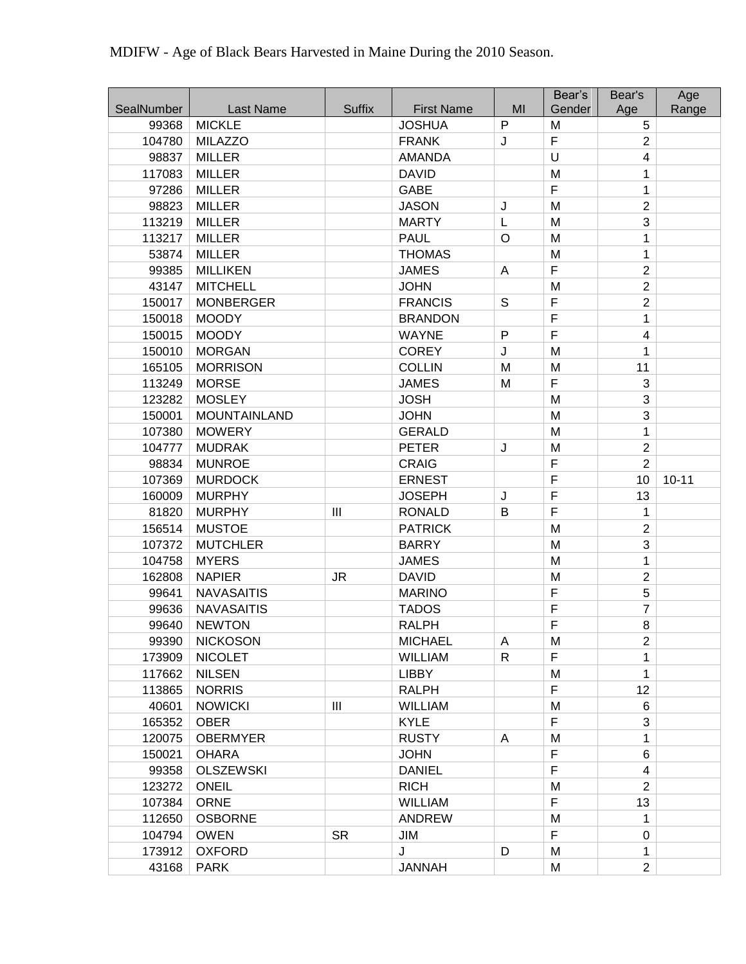|            |                   |                                  |                   |              | Bear's | Bear's         | Age       |
|------------|-------------------|----------------------------------|-------------------|--------------|--------|----------------|-----------|
| SealNumber | Last Name         | <b>Suffix</b>                    | <b>First Name</b> | MI           | Gender | Age            | Range     |
| 99368      | <b>MICKLE</b>     |                                  | <b>JOSHUA</b>     | $\mathsf{P}$ | M      | 5              |           |
| 104780     | <b>MILAZZO</b>    |                                  | <b>FRANK</b>      | J            | F      | $\overline{2}$ |           |
| 98837      | <b>MILLER</b>     |                                  | <b>AMANDA</b>     |              | U      | 4              |           |
| 117083     | <b>MILLER</b>     |                                  | <b>DAVID</b>      |              | M      | 1              |           |
| 97286      | <b>MILLER</b>     |                                  | GABE              |              | F      | 1              |           |
| 98823      | <b>MILLER</b>     |                                  | <b>JASON</b>      | J            | M      | $\overline{2}$ |           |
| 113219     | <b>MILLER</b>     |                                  | <b>MARTY</b>      | L            | M      | 3              |           |
| 113217     | <b>MILLER</b>     |                                  | <b>PAUL</b>       | $\circ$      | M      | 1              |           |
| 53874      | <b>MILLER</b>     |                                  | <b>THOMAS</b>     |              | M      | 1              |           |
| 99385      | <b>MILLIKEN</b>   |                                  | <b>JAMES</b>      | A            | F      | $\overline{2}$ |           |
| 43147      | <b>MITCHELL</b>   |                                  | <b>JOHN</b>       |              | M      | $\overline{2}$ |           |
| 150017     | <b>MONBERGER</b>  |                                  | <b>FRANCIS</b>    | $\mathsf S$  | F      | $\overline{2}$ |           |
| 150018     | <b>MOODY</b>      |                                  | <b>BRANDON</b>    |              | F      | 1              |           |
| 150015     | <b>MOODY</b>      |                                  | <b>WAYNE</b>      | P            | F      | 4              |           |
| 150010     | <b>MORGAN</b>     |                                  | <b>COREY</b>      | J            | M      | 1              |           |
| 165105     | <b>MORRISON</b>   |                                  | <b>COLLIN</b>     | M            | M      | 11             |           |
| 113249     | <b>MORSE</b>      |                                  | <b>JAMES</b>      | M            | F      | 3              |           |
| 123282     | <b>MOSLEY</b>     |                                  | <b>JOSH</b>       |              | M      | 3              |           |
| 150001     | MOUNTAINLAND      |                                  | <b>JOHN</b>       |              | M      | 3              |           |
| 107380     | <b>MOWERY</b>     |                                  | <b>GERALD</b>     |              | M      | 1              |           |
| 104777     | <b>MUDRAK</b>     |                                  | <b>PETER</b>      | J            | M      | $\overline{2}$ |           |
| 98834      | <b>MUNROE</b>     |                                  | <b>CRAIG</b>      |              | F      | $\overline{2}$ |           |
| 107369     | <b>MURDOCK</b>    |                                  | <b>ERNEST</b>     |              | F      | 10             | $10 - 11$ |
| 160009     | <b>MURPHY</b>     |                                  | <b>JOSEPH</b>     | J            | F      | 13             |           |
| 81820      | <b>MURPHY</b>     | $\mathbf{III}$                   | <b>RONALD</b>     | В            | F      | 1              |           |
| 156514     | <b>MUSTOE</b>     |                                  | <b>PATRICK</b>    |              | M      | $\overline{2}$ |           |
| 107372     | <b>MUTCHLER</b>   |                                  | <b>BARRY</b>      |              | M      | 3              |           |
| 104758     | <b>MYERS</b>      |                                  | <b>JAMES</b>      |              | M      | 1              |           |
| 162808     | <b>NAPIER</b>     | <b>JR</b>                        | <b>DAVID</b>      |              | M      | $\overline{2}$ |           |
| 99641      | <b>NAVASAITIS</b> |                                  | <b>MARINO</b>     |              | F      | 5              |           |
| 99636      | <b>NAVASAITIS</b> |                                  | <b>TADOS</b>      |              | F      | $\overline{7}$ |           |
| 99640      | <b>NEWTON</b>     |                                  | <b>RALPH</b>      |              | F      | 8              |           |
| 99390      | <b>NICKOSON</b>   |                                  | <b>MICHAEL</b>    | Α            | M      | $\overline{2}$ |           |
| 173909     | <b>NICOLET</b>    |                                  | <b>WILLIAM</b>    | R            | F      | 1              |           |
| 117662     | <b>NILSEN</b>     |                                  | <b>LIBBY</b>      |              | M      | 1              |           |
| 113865     | <b>NORRIS</b>     |                                  | <b>RALPH</b>      |              | F      | 12             |           |
| 40601      | <b>NOWICKI</b>    | $\mathop{\mathrm{III}}\nolimits$ | <b>WILLIAM</b>    |              | M      | 6              |           |
| 165352     | <b>OBER</b>       |                                  | <b>KYLE</b>       |              | F      | 3              |           |
| 120075     | <b>OBERMYER</b>   |                                  | <b>RUSTY</b>      | A            | M      | 1              |           |
| 150021     | <b>OHARA</b>      |                                  | <b>JOHN</b>       |              | F      | 6              |           |
| 99358      | <b>OLSZEWSKI</b>  |                                  | <b>DANIEL</b>     |              | F      | 4              |           |
| 123272     | <b>ONEIL</b>      |                                  | <b>RICH</b>       |              | M      | $\overline{2}$ |           |
| 107384     | <b>ORNE</b>       |                                  | <b>WILLIAM</b>    |              | F      | 13             |           |
| 112650     | <b>OSBORNE</b>    |                                  | <b>ANDREW</b>     |              | M      | 1              |           |
| 104794     | <b>OWEN</b>       | <b>SR</b>                        | JIM               |              | F      | $\Omega$       |           |
| 173912     | <b>OXFORD</b>     |                                  | J                 | D            | M      | 1              |           |
| 43168      | <b>PARK</b>       |                                  | <b>JANNAH</b>     |              | M      | $\overline{2}$ |           |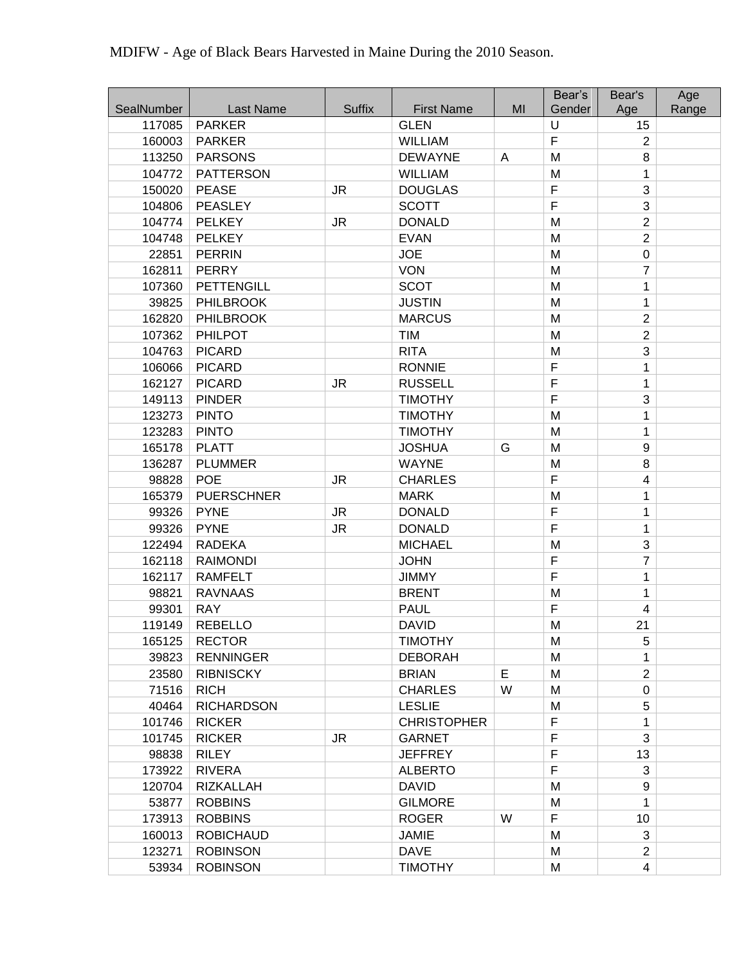|            |                   |               |                    |    | Bear's         | Bear's         | Age   |
|------------|-------------------|---------------|--------------------|----|----------------|----------------|-------|
| SealNumber | Last Name         | <b>Suffix</b> | <b>First Name</b>  | MI | Gender         | Age            | Range |
| 117085     | <b>PARKER</b>     |               | <b>GLEN</b>        |    | U              | 15             |       |
| 160003     | <b>PARKER</b>     |               | <b>WILLIAM</b>     |    | F              | $\overline{2}$ |       |
| 113250     | <b>PARSONS</b>    |               | <b>DEWAYNE</b>     | A  | M              | 8              |       |
| 104772     | <b>PATTERSON</b>  |               | <b>WILLIAM</b>     |    | M              | 1              |       |
| 150020     | <b>PEASE</b>      | <b>JR</b>     | <b>DOUGLAS</b>     |    | $\overline{F}$ | 3              |       |
| 104806     | PEASLEY           |               | <b>SCOTT</b>       |    | F              | 3              |       |
| 104774     | <b>PELKEY</b>     | <b>JR</b>     | <b>DONALD</b>      |    | M              | $\overline{2}$ |       |
| 104748     | <b>PELKEY</b>     |               | <b>EVAN</b>        |    | M              | $\overline{2}$ |       |
| 22851      | <b>PERRIN</b>     |               | <b>JOE</b>         |    | M              | 0              |       |
| 162811     | <b>PERRY</b>      |               | <b>VON</b>         |    | M              | $\overline{7}$ |       |
| 107360     | <b>PETTENGILL</b> |               | <b>SCOT</b>        |    | M              | 1              |       |
| 39825      | <b>PHILBROOK</b>  |               | <b>JUSTIN</b>      |    | M              | 1              |       |
| 162820     | <b>PHILBROOK</b>  |               | <b>MARCUS</b>      |    | M              | $\overline{2}$ |       |
| 107362     | <b>PHILPOT</b>    |               | TIM                |    | M              | $\overline{2}$ |       |
| 104763     | <b>PICARD</b>     |               | <b>RITA</b>        |    | M              | 3              |       |
| 106066     | <b>PICARD</b>     |               | <b>RONNIE</b>      |    | $\overline{F}$ | 1              |       |
| 162127     | <b>PICARD</b>     | <b>JR</b>     | <b>RUSSELL</b>     |    | $\overline{F}$ | 1              |       |
| 149113     | <b>PINDER</b>     |               | <b>TIMOTHY</b>     |    | $\overline{F}$ | 3              |       |
| 123273     | <b>PINTO</b>      |               | <b>TIMOTHY</b>     |    | M              | 1              |       |
| 123283     | <b>PINTO</b>      |               | <b>TIMOTHY</b>     |    | M              | 1              |       |
| 165178     | <b>PLATT</b>      |               | <b>JOSHUA</b>      | G  | M              | 9              |       |
| 136287     | <b>PLUMMER</b>    |               | <b>WAYNE</b>       |    | M              | 8              |       |
| 98828      | <b>POE</b>        | <b>JR</b>     | <b>CHARLES</b>     |    | $\overline{F}$ | 4              |       |
| 165379     | <b>PUERSCHNER</b> |               | <b>MARK</b>        |    | M              | 1              |       |
| 99326      | <b>PYNE</b>       | <b>JR</b>     | <b>DONALD</b>      |    | F              | 1              |       |
| 99326      | <b>PYNE</b>       | <b>JR</b>     | <b>DONALD</b>      |    | $\overline{F}$ | 1              |       |
| 122494     | <b>RADEKA</b>     |               | <b>MICHAEL</b>     |    | M              | 3              |       |
| 162118     | <b>RAIMONDI</b>   |               | <b>JOHN</b>        |    | $\overline{F}$ | $\overline{7}$ |       |
| 162117     | <b>RAMFELT</b>    |               | <b>JIMMY</b>       |    | $\overline{F}$ | 1              |       |
| 98821      | <b>RAVNAAS</b>    |               | <b>BRENT</b>       |    | M              | 1              |       |
| 99301      | <b>RAY</b>        |               | <b>PAUL</b>        |    | $\mathsf F$    | 4              |       |
| 119149     | <b>REBELLO</b>    |               | <b>DAVID</b>       |    | M              | 21             |       |
| 165125     | <b>RECTOR</b>     |               | <b>TIMOTHY</b>     |    | M              | 5              |       |
| 39823      | <b>RENNINGER</b>  |               | <b>DEBORAH</b>     |    | M              | 1              |       |
| 23580      | <b>RIBNISCKY</b>  |               | <b>BRIAN</b>       | E  | M              | $\overline{2}$ |       |
| 71516      | <b>RICH</b>       |               | <b>CHARLES</b>     | W  | M              | 0              |       |
| 40464      | <b>RICHARDSON</b> |               | <b>LESLIE</b>      |    | M              | 5              |       |
| 101746     | <b>RICKER</b>     |               | <b>CHRISTOPHER</b> |    | $\mathsf F$    | 1              |       |
| 101745     | <b>RICKER</b>     | <b>JR</b>     | <b>GARNET</b>      |    | F              | 3              |       |
| 98838      | <b>RILEY</b>      |               | <b>JEFFREY</b>     |    | F              | 13             |       |
| 173922     | <b>RIVERA</b>     |               | <b>ALBERTO</b>     |    | $\mathsf F$    | 3              |       |
| 120704     | <b>RIZKALLAH</b>  |               | <b>DAVID</b>       |    | M              | 9              |       |
| 53877      | <b>ROBBINS</b>    |               | <b>GILMORE</b>     |    | M              | 1              |       |
| 173913     | <b>ROBBINS</b>    |               | <b>ROGER</b>       | W  | F              | 10             |       |
| 160013     | <b>ROBICHAUD</b>  |               | <b>JAMIE</b>       |    | M              | 3              |       |
| 123271     | <b>ROBINSON</b>   |               | <b>DAVE</b>        |    | M              | $\overline{2}$ |       |
| 53934      | <b>ROBINSON</b>   |               | <b>TIMOTHY</b>     |    | M              | $\overline{4}$ |       |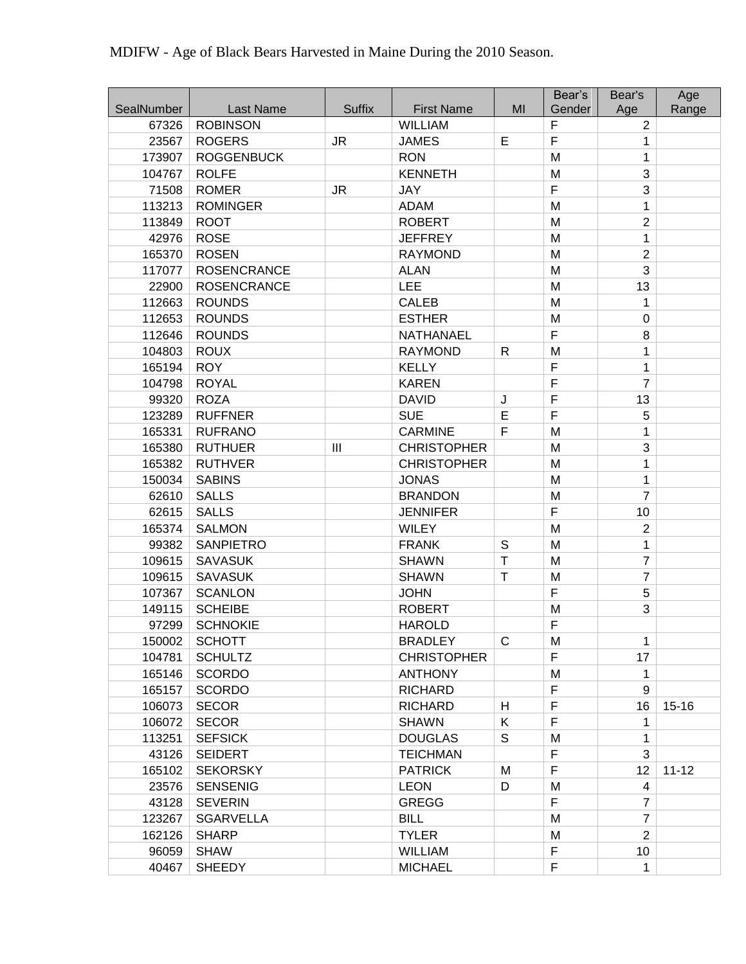| SealNumber | Last Name          | <b>Suffix</b>  | <b>First Name</b>  | MI          | Bear's<br>Gender | Bear's                | Age       |
|------------|--------------------|----------------|--------------------|-------------|------------------|-----------------------|-----------|
| 67326      | <b>ROBINSON</b>    |                | WILLIAM            |             | F                | Age<br>$\overline{2}$ | Range     |
| 23567      | <b>ROGERS</b>      | <b>JR</b>      | <b>JAMES</b>       | E           | $\overline{F}$   | 1                     |           |
| 173907     | <b>ROGGENBUCK</b>  |                | <b>RON</b>         |             | M                | 1                     |           |
| 104767     | <b>ROLFE</b>       |                | <b>KENNETH</b>     |             | M                | 3                     |           |
| 71508      | <b>ROMER</b>       | <b>JR</b>      | JAY                |             | $\mathsf F$      | 3                     |           |
| 113213     | <b>ROMINGER</b>    |                | <b>ADAM</b>        |             | M                | 1                     |           |
| 113849     | <b>ROOT</b>        |                | <b>ROBERT</b>      |             | M                | $\overline{2}$        |           |
| 42976      | <b>ROSE</b>        |                | <b>JEFFREY</b>     |             | M                | 1                     |           |
| 165370     | <b>ROSEN</b>       |                | <b>RAYMOND</b>     |             | M                | $\overline{2}$        |           |
| 117077     | <b>ROSENCRANCE</b> |                | <b>ALAN</b>        |             | M                | 3                     |           |
| 22900      | <b>ROSENCRANCE</b> |                | <b>LEE</b>         |             | M                | 13                    |           |
| 112663     | <b>ROUNDS</b>      |                | <b>CALEB</b>       |             | M                | 1                     |           |
| 112653     | <b>ROUNDS</b>      |                | <b>ESTHER</b>      |             | M                | $\mathbf 0$           |           |
| 112646     | <b>ROUNDS</b>      |                | NATHANAEL          |             | $\overline{F}$   | 8                     |           |
| 104803     | <b>ROUX</b>        |                | <b>RAYMOND</b>     | R           | M                | 1                     |           |
| 165194     | <b>ROY</b>         |                | <b>KELLY</b>       |             | $\mathsf F$      | 1                     |           |
| 104798     | <b>ROYAL</b>       |                | <b>KAREN</b>       |             | $\mathsf F$      | $\overline{7}$        |           |
| 99320      | <b>ROZA</b>        |                | <b>DAVID</b>       |             | $\overline{F}$   | 13                    |           |
| 123289     | <b>RUFFNER</b>     |                | <b>SUE</b>         | J<br>Е      | F                | 5                     |           |
| 165331     | <b>RUFRANO</b>     |                | <b>CARMINE</b>     | F           | M                | 1                     |           |
| 165380     | <b>RUTHUER</b>     | $\mathbf{III}$ | <b>CHRISTOPHER</b> |             | M                | 3                     |           |
| 165382     | <b>RUTHVER</b>     |                | <b>CHRISTOPHER</b> |             | M                | 1                     |           |
| 150034     | <b>SABINS</b>      |                | <b>JONAS</b>       |             | M                | 1                     |           |
| 62610      | <b>SALLS</b>       |                | <b>BRANDON</b>     |             | M                | $\overline{7}$        |           |
| 62615      | <b>SALLS</b>       |                | <b>JENNIFER</b>    |             | F                | 10                    |           |
| 165374     | <b>SALMON</b>      |                | <b>WILEY</b>       |             | M                | $\overline{2}$        |           |
| 99382      | <b>SANPIETRO</b>   |                | <b>FRANK</b>       | $\mathbb S$ | M                | 1                     |           |
| 109615     | <b>SAVASUK</b>     |                | <b>SHAWN</b>       | $\mathsf T$ | M                | $\overline{7}$        |           |
| 109615     | <b>SAVASUK</b>     |                | <b>SHAWN</b>       | Τ           | M                | $\overline{7}$        |           |
| 107367     | <b>SCANLON</b>     |                | <b>JOHN</b>        |             | F                | 5                     |           |
| 149115     | <b>SCHEIBE</b>     |                | <b>ROBERT</b>      |             | M                | 3                     |           |
| 97299      | <b>SCHNOKIE</b>    |                | <b>HAROLD</b>      |             | F                |                       |           |
| 150002     | <b>SCHOTT</b>      |                | <b>BRADLEY</b>     | C           | M                | 1                     |           |
| 104781     | <b>SCHULTZ</b>     |                | <b>CHRISTOPHER</b> |             | F                | 17                    |           |
| 165146     | <b>SCORDO</b>      |                | <b>ANTHONY</b>     |             | M                | 1                     |           |
| 165157     | <b>SCORDO</b>      |                | <b>RICHARD</b>     |             | $\mathsf F$      | 9                     |           |
| 106073     | <b>SECOR</b>       |                | <b>RICHARD</b>     | H           | $\mathsf F$      | 16                    | $15 - 16$ |
| 106072     | <b>SECOR</b>       |                | <b>SHAWN</b>       | K           | $\mathsf F$      | 1                     |           |
| 113251     | <b>SEFSICK</b>     |                | <b>DOUGLAS</b>     | S           | M                | 1                     |           |
| 43126      | <b>SEIDERT</b>     |                | <b>TEICHMAN</b>    |             | $\mathsf F$      | 3                     |           |
| 165102     | <b>SEKORSKY</b>    |                | <b>PATRICK</b>     | M           | F                | 12                    | $11 - 12$ |
| 23576      | <b>SENSENIG</b>    |                | <b>LEON</b>        | D           | M                | 4                     |           |
| 43128      | <b>SEVERIN</b>     |                | <b>GREGG</b>       |             | F                | 7                     |           |
| 123267     | <b>SGARVELLA</b>   |                | <b>BILL</b>        |             | M                | $\overline{7}$        |           |
| 162126     | <b>SHARP</b>       |                | <b>TYLER</b>       |             | M                | $\overline{2}$        |           |
| 96059      | <b>SHAW</b>        |                | <b>WILLIAM</b>     |             | F                | 10                    |           |
| 40467      | <b>SHEEDY</b>      |                | <b>MICHAEL</b>     |             | $\mathsf F$      | 1                     |           |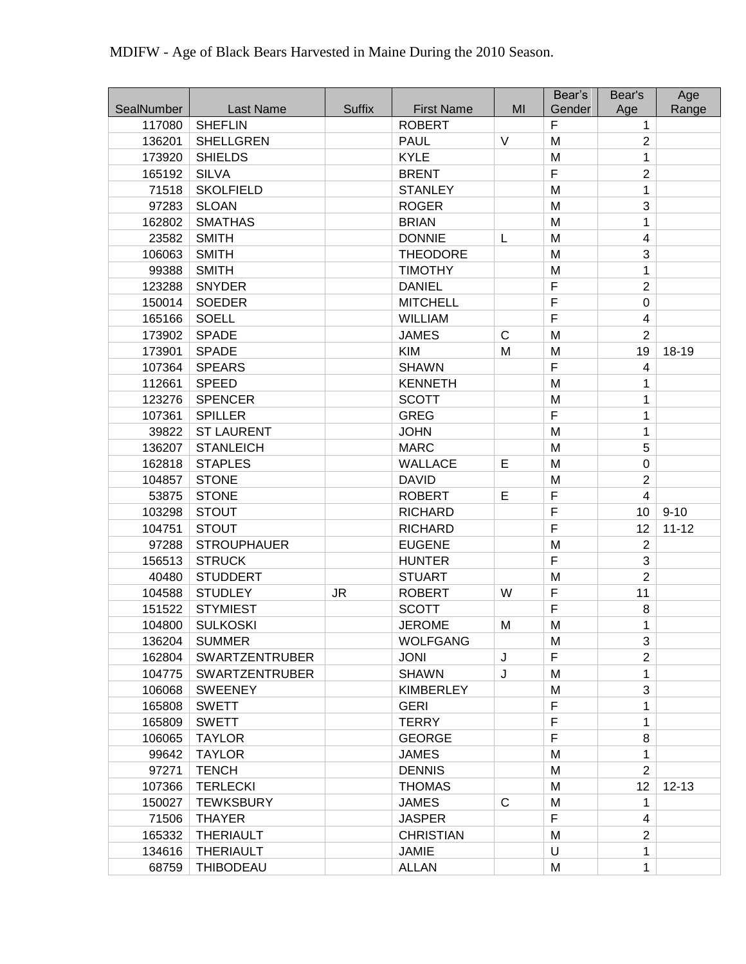|                      |                                    |               |                                    | MI           | Bear's<br>Gender    | Bear's               | Age       |
|----------------------|------------------------------------|---------------|------------------------------------|--------------|---------------------|----------------------|-----------|
| SealNumber<br>117080 | Last Name<br><b>SHEFLIN</b>        | <b>Suffix</b> | <b>First Name</b><br><b>ROBERT</b> |              | F                   | Age<br>1             | Range     |
| 136201               | <b>SHELLGREN</b>                   |               | <b>PAUL</b>                        | V            | M                   | $\overline{2}$       |           |
| 173920               | <b>SHIELDS</b>                     |               | <b>KYLE</b>                        |              | M                   | 1                    |           |
| 165192               | <b>SILVA</b>                       |               | <b>BRENT</b>                       |              | F                   | $\overline{2}$       |           |
| 71518                | <b>SKOLFIELD</b>                   |               | <b>STANLEY</b>                     |              | M                   | 1                    |           |
| 97283                | <b>SLOAN</b>                       |               | <b>ROGER</b>                       |              | M                   | 3                    |           |
| 162802               | <b>SMATHAS</b>                     |               | <b>BRIAN</b>                       |              | M                   | 1                    |           |
| 23582                | <b>SMITH</b>                       |               | <b>DONNIE</b>                      | L            | M                   | 4                    |           |
| 106063               | <b>SMITH</b>                       |               | <b>THEODORE</b>                    |              | M                   | 3                    |           |
| 99388                | <b>SMITH</b>                       |               | <b>TIMOTHY</b>                     |              | M                   | 1                    |           |
| 123288               | <b>SNYDER</b>                      |               | <b>DANIEL</b>                      |              | $\mathsf F$         | $\overline{2}$       |           |
| 150014               | <b>SOEDER</b>                      |               | <b>MITCHELL</b>                    |              | $\mathsf F$         | $\mathbf 0$          |           |
| 165166               | <b>SOELL</b>                       |               | <b>WILLIAM</b>                     |              | $\mathsf F$         | 4                    |           |
| 173902               | <b>SPADE</b>                       |               | <b>JAMES</b>                       | $\mathsf{C}$ | M                   | $\overline{2}$       |           |
| 173901               | <b>SPADE</b>                       |               | KIM                                | M            | M                   | 19                   | 18-19     |
| 107364               | <b>SPEARS</b>                      |               | <b>SHAWN</b>                       |              | F                   | $\overline{4}$       |           |
| 112661               | <b>SPEED</b>                       |               | <b>KENNETH</b>                     |              | M                   |                      |           |
|                      |                                    |               |                                    |              |                     | 1<br>1               |           |
| 123276               | <b>SPENCER</b><br><b>SPILLER</b>   |               | <b>SCOTT</b><br><b>GREG</b>        |              | M<br>$\overline{F}$ | 1                    |           |
| 107361<br>39822      |                                    |               |                                    |              | M                   |                      |           |
|                      | <b>ST LAURENT</b>                  |               | <b>JOHN</b>                        |              |                     | 1<br>5               |           |
| 136207               | <b>STANLEICH</b>                   |               | <b>MARC</b>                        | E            | M<br>M              | $\mathbf 0$          |           |
| 162818               | <b>STAPLES</b>                     |               | <b>WALLACE</b>                     |              |                     |                      |           |
| 104857               | <b>STONE</b>                       |               | <b>DAVID</b>                       | $\mathsf E$  | M<br>$\mathsf F$    | $\overline{c}$<br>4  |           |
| 53875<br>103298      | <b>STONE</b>                       |               | <b>ROBERT</b>                      |              | F                   |                      | $9 - 10$  |
|                      | <b>STOUT</b>                       |               | <b>RICHARD</b>                     |              | $\mathsf F$         | 10                   |           |
| 104751<br>97288      | <b>STOUT</b><br><b>STROUPHAUER</b> |               | <b>RICHARD</b>                     |              | M                   | 12<br>$\overline{2}$ | $11 - 12$ |
| 156513               | <b>STRUCK</b>                      |               | <b>EUGENE</b><br><b>HUNTER</b>     |              | F                   | 3                    |           |
| 40480                | <b>STUDDERT</b>                    |               | <b>STUART</b>                      |              | M                   | $\overline{2}$       |           |
| 104588               | <b>STUDLEY</b>                     | <b>JR</b>     | <b>ROBERT</b>                      | W            | $\mathsf F$         | 11                   |           |
| 151522               | <b>STYMIEST</b>                    |               | <b>SCOTT</b>                       |              | $\mathsf F$         | 8                    |           |
| 104800               | <b>SULKOSKI</b>                    |               | <b>JEROME</b>                      | M            | M                   | 1                    |           |
| 136204               | <b>SUMMER</b>                      |               | <b>WOLFGANG</b>                    |              | M                   | 3                    |           |
| 162804               | <b>SWARTZENTRUBER</b>              |               | <b>JONI</b>                        | J            | F                   | $\overline{c}$       |           |
| 104775               | <b>SWARTZENTRUBER</b>              |               | <b>SHAWN</b>                       | J            | M                   | 1                    |           |
| 106068               | <b>SWEENEY</b>                     |               | <b>KIMBERLEY</b>                   |              | M                   | 3                    |           |
| 165808               | <b>SWETT</b>                       |               | <b>GERI</b>                        |              | F                   | 1                    |           |
| 165809               | <b>SWETT</b>                       |               | <b>TERRY</b>                       |              | $\mathsf F$         | 1                    |           |
| 106065               | <b>TAYLOR</b>                      |               | <b>GEORGE</b>                      |              | $\mathsf F$         | 8                    |           |
| 99642                | <b>TAYLOR</b>                      |               | <b>JAMES</b>                       |              | M                   | 1                    |           |
| 97271                | <b>TENCH</b>                       |               | <b>DENNIS</b>                      |              | M                   | $\overline{2}$       |           |
| 107366               | <b>TERLECKI</b>                    |               | <b>THOMAS</b>                      |              | M                   | 12                   | $12 - 13$ |
| 150027               | <b>TEWKSBURY</b>                   |               | <b>JAMES</b>                       | $\mathsf{C}$ | M                   | 1                    |           |
| 71506                | <b>THAYER</b>                      |               | <b>JASPER</b>                      |              | F                   | 4                    |           |
| 165332               | <b>THERIAULT</b>                   |               | <b>CHRISTIAN</b>                   |              | M                   | $\overline{2}$       |           |
| 134616               | <b>THERIAULT</b>                   |               | <b>JAMIE</b>                       |              | U                   | 1                    |           |
| 68759                | <b>THIBODEAU</b>                   |               | <b>ALLAN</b>                       |              | M                   | 1                    |           |
|                      |                                    |               |                                    |              |                     |                      |           |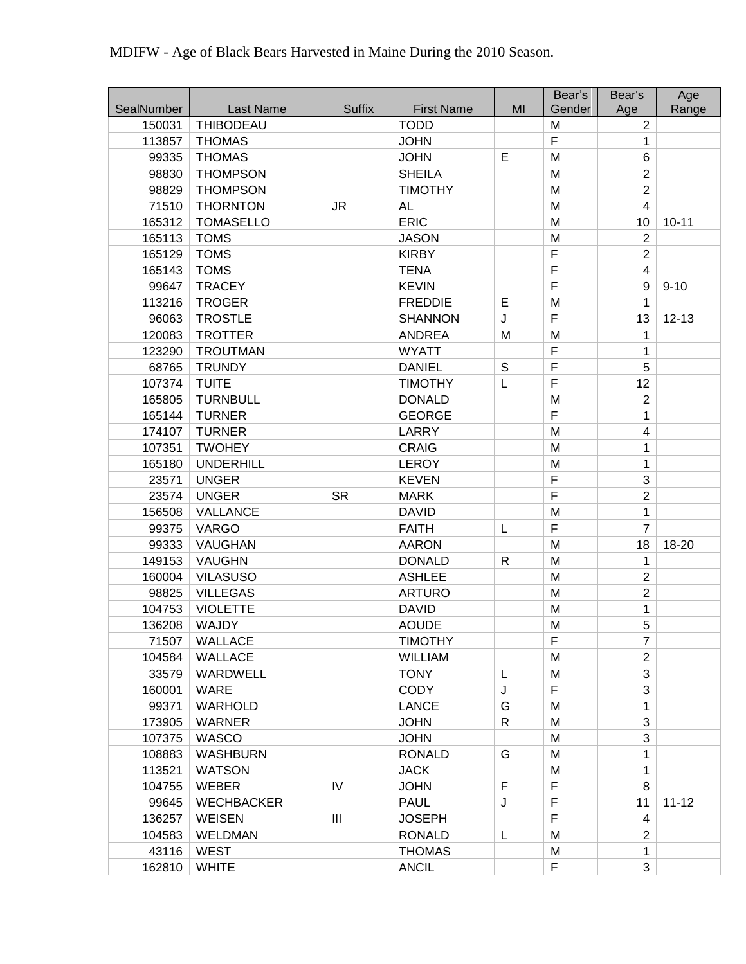| SealNumber<br><b>Last Name</b><br><b>Suffix</b><br><b>First Name</b><br>MI<br>Gender<br>Range<br>Age<br>150031<br><b>THIBODEAU</b><br><b>TODD</b><br>M<br>$\overline{2}$<br>F<br>113857<br><b>JOHN</b><br><b>THOMAS</b><br>1<br>E<br>6<br>99335<br><b>THOMAS</b><br><b>JOHN</b><br>M<br>$\overline{2}$<br>98830<br><b>THOMPSON</b><br><b>SHEILA</b><br>M<br>$\overline{c}$<br>M<br>98829<br><b>THOMPSON</b><br><b>TIMOTHY</b><br>71510<br><b>THORNTON</b><br>M<br>$\overline{4}$<br><b>JR</b><br>AL<br>165312<br><b>ERIC</b><br>$10 - 11$<br><b>TOMASELLO</b><br>M<br>10<br>M<br>$\overline{2}$<br>165113<br><b>TOMS</b><br><b>JASON</b><br>$\overline{F}$<br>$\overline{2}$<br>165129<br><b>TOMS</b><br><b>KIRBY</b><br>$\mathsf F$<br>165143<br><b>TOMS</b><br><b>TENA</b><br>$\overline{4}$<br>F<br>99647<br><b>TRACEY</b><br><b>KEVIN</b><br>9<br>$9 - 10$<br>113216<br><b>TROGER</b><br><b>FREDDIE</b><br>E<br>M<br>1<br>$\mathsf F$<br><b>TROSTLE</b><br>J<br>13<br>96063<br><b>SHANNON</b><br>$12 - 13$<br>120083<br>M<br>M<br><b>TROTTER</b><br><b>ANDREA</b><br>1<br>$\overline{F}$<br>123290<br><b>WYATT</b><br><b>TROUTMAN</b><br>1<br>$\mathsf F$<br>68765<br><b>TRUNDY</b><br><b>DANIEL</b><br>S<br>5<br>F<br>12<br>107374<br><b>TUITE</b><br><b>TIMOTHY</b><br>L<br>M<br>$\overline{2}$<br>165805<br><b>TURNBULL</b><br><b>DONALD</b><br>$\overline{F}$<br>165144<br><b>TURNER</b><br><b>GEORGE</b><br>1<br>M<br>174107<br><b>TURNER</b><br>LARRY<br>4<br>107351<br><b>CRAIG</b><br><b>TWOHEY</b><br>M<br>1 |  |  | Bear's | Bear's | Age |
|---------------------------------------------------------------------------------------------------------------------------------------------------------------------------------------------------------------------------------------------------------------------------------------------------------------------------------------------------------------------------------------------------------------------------------------------------------------------------------------------------------------------------------------------------------------------------------------------------------------------------------------------------------------------------------------------------------------------------------------------------------------------------------------------------------------------------------------------------------------------------------------------------------------------------------------------------------------------------------------------------------------------------------------------------------------------------------------------------------------------------------------------------------------------------------------------------------------------------------------------------------------------------------------------------------------------------------------------------------------------------------------------------------------------------------------------------------------------------------------------------------------------------|--|--|--------|--------|-----|
|                                                                                                                                                                                                                                                                                                                                                                                                                                                                                                                                                                                                                                                                                                                                                                                                                                                                                                                                                                                                                                                                                                                                                                                                                                                                                                                                                                                                                                                                                                                           |  |  |        |        |     |
|                                                                                                                                                                                                                                                                                                                                                                                                                                                                                                                                                                                                                                                                                                                                                                                                                                                                                                                                                                                                                                                                                                                                                                                                                                                                                                                                                                                                                                                                                                                           |  |  |        |        |     |
|                                                                                                                                                                                                                                                                                                                                                                                                                                                                                                                                                                                                                                                                                                                                                                                                                                                                                                                                                                                                                                                                                                                                                                                                                                                                                                                                                                                                                                                                                                                           |  |  |        |        |     |
|                                                                                                                                                                                                                                                                                                                                                                                                                                                                                                                                                                                                                                                                                                                                                                                                                                                                                                                                                                                                                                                                                                                                                                                                                                                                                                                                                                                                                                                                                                                           |  |  |        |        |     |
|                                                                                                                                                                                                                                                                                                                                                                                                                                                                                                                                                                                                                                                                                                                                                                                                                                                                                                                                                                                                                                                                                                                                                                                                                                                                                                                                                                                                                                                                                                                           |  |  |        |        |     |
|                                                                                                                                                                                                                                                                                                                                                                                                                                                                                                                                                                                                                                                                                                                                                                                                                                                                                                                                                                                                                                                                                                                                                                                                                                                                                                                                                                                                                                                                                                                           |  |  |        |        |     |
|                                                                                                                                                                                                                                                                                                                                                                                                                                                                                                                                                                                                                                                                                                                                                                                                                                                                                                                                                                                                                                                                                                                                                                                                                                                                                                                                                                                                                                                                                                                           |  |  |        |        |     |
|                                                                                                                                                                                                                                                                                                                                                                                                                                                                                                                                                                                                                                                                                                                                                                                                                                                                                                                                                                                                                                                                                                                                                                                                                                                                                                                                                                                                                                                                                                                           |  |  |        |        |     |
|                                                                                                                                                                                                                                                                                                                                                                                                                                                                                                                                                                                                                                                                                                                                                                                                                                                                                                                                                                                                                                                                                                                                                                                                                                                                                                                                                                                                                                                                                                                           |  |  |        |        |     |
|                                                                                                                                                                                                                                                                                                                                                                                                                                                                                                                                                                                                                                                                                                                                                                                                                                                                                                                                                                                                                                                                                                                                                                                                                                                                                                                                                                                                                                                                                                                           |  |  |        |        |     |
|                                                                                                                                                                                                                                                                                                                                                                                                                                                                                                                                                                                                                                                                                                                                                                                                                                                                                                                                                                                                                                                                                                                                                                                                                                                                                                                                                                                                                                                                                                                           |  |  |        |        |     |
|                                                                                                                                                                                                                                                                                                                                                                                                                                                                                                                                                                                                                                                                                                                                                                                                                                                                                                                                                                                                                                                                                                                                                                                                                                                                                                                                                                                                                                                                                                                           |  |  |        |        |     |
|                                                                                                                                                                                                                                                                                                                                                                                                                                                                                                                                                                                                                                                                                                                                                                                                                                                                                                                                                                                                                                                                                                                                                                                                                                                                                                                                                                                                                                                                                                                           |  |  |        |        |     |
|                                                                                                                                                                                                                                                                                                                                                                                                                                                                                                                                                                                                                                                                                                                                                                                                                                                                                                                                                                                                                                                                                                                                                                                                                                                                                                                                                                                                                                                                                                                           |  |  |        |        |     |
|                                                                                                                                                                                                                                                                                                                                                                                                                                                                                                                                                                                                                                                                                                                                                                                                                                                                                                                                                                                                                                                                                                                                                                                                                                                                                                                                                                                                                                                                                                                           |  |  |        |        |     |
|                                                                                                                                                                                                                                                                                                                                                                                                                                                                                                                                                                                                                                                                                                                                                                                                                                                                                                                                                                                                                                                                                                                                                                                                                                                                                                                                                                                                                                                                                                                           |  |  |        |        |     |
|                                                                                                                                                                                                                                                                                                                                                                                                                                                                                                                                                                                                                                                                                                                                                                                                                                                                                                                                                                                                                                                                                                                                                                                                                                                                                                                                                                                                                                                                                                                           |  |  |        |        |     |
|                                                                                                                                                                                                                                                                                                                                                                                                                                                                                                                                                                                                                                                                                                                                                                                                                                                                                                                                                                                                                                                                                                                                                                                                                                                                                                                                                                                                                                                                                                                           |  |  |        |        |     |
|                                                                                                                                                                                                                                                                                                                                                                                                                                                                                                                                                                                                                                                                                                                                                                                                                                                                                                                                                                                                                                                                                                                                                                                                                                                                                                                                                                                                                                                                                                                           |  |  |        |        |     |
|                                                                                                                                                                                                                                                                                                                                                                                                                                                                                                                                                                                                                                                                                                                                                                                                                                                                                                                                                                                                                                                                                                                                                                                                                                                                                                                                                                                                                                                                                                                           |  |  |        |        |     |
|                                                                                                                                                                                                                                                                                                                                                                                                                                                                                                                                                                                                                                                                                                                                                                                                                                                                                                                                                                                                                                                                                                                                                                                                                                                                                                                                                                                                                                                                                                                           |  |  |        |        |     |
|                                                                                                                                                                                                                                                                                                                                                                                                                                                                                                                                                                                                                                                                                                                                                                                                                                                                                                                                                                                                                                                                                                                                                                                                                                                                                                                                                                                                                                                                                                                           |  |  |        |        |     |
| M<br>165180<br><b>UNDERHILL</b><br><b>LEROY</b><br>1                                                                                                                                                                                                                                                                                                                                                                                                                                                                                                                                                                                                                                                                                                                                                                                                                                                                                                                                                                                                                                                                                                                                                                                                                                                                                                                                                                                                                                                                      |  |  |        |        |     |
| $\mathsf F$<br>3<br>23571<br><b>KEVEN</b><br><b>UNGER</b>                                                                                                                                                                                                                                                                                                                                                                                                                                                                                                                                                                                                                                                                                                                                                                                                                                                                                                                                                                                                                                                                                                                                                                                                                                                                                                                                                                                                                                                                 |  |  |        |        |     |
| $\overline{F}$<br>$\overline{2}$<br>23574<br><b>UNGER</b><br><b>SR</b><br><b>MARK</b>                                                                                                                                                                                                                                                                                                                                                                                                                                                                                                                                                                                                                                                                                                                                                                                                                                                                                                                                                                                                                                                                                                                                                                                                                                                                                                                                                                                                                                     |  |  |        |        |     |
| M<br>156508<br><b>VALLANCE</b><br><b>DAVID</b><br>1                                                                                                                                                                                                                                                                                                                                                                                                                                                                                                                                                                                                                                                                                                                                                                                                                                                                                                                                                                                                                                                                                                                                                                                                                                                                                                                                                                                                                                                                       |  |  |        |        |     |
| $\mathsf F$<br>$\overline{7}$<br>99375<br><b>VARGO</b><br><b>FAITH</b><br>L                                                                                                                                                                                                                                                                                                                                                                                                                                                                                                                                                                                                                                                                                                                                                                                                                                                                                                                                                                                                                                                                                                                                                                                                                                                                                                                                                                                                                                               |  |  |        |        |     |
| 99333<br><b>VAUGHAN</b><br>M<br>18<br>18-20<br><b>AARON</b>                                                                                                                                                                                                                                                                                                                                                                                                                                                                                                                                                                                                                                                                                                                                                                                                                                                                                                                                                                                                                                                                                                                                                                                                                                                                                                                                                                                                                                                               |  |  |        |        |     |
| M<br>149153<br><b>VAUGHN</b><br><b>DONALD</b><br>$\mathsf{R}$<br>1                                                                                                                                                                                                                                                                                                                                                                                                                                                                                                                                                                                                                                                                                                                                                                                                                                                                                                                                                                                                                                                                                                                                                                                                                                                                                                                                                                                                                                                        |  |  |        |        |     |
| $\overline{2}$<br>M<br>160004<br><b>VILASUSO</b><br><b>ASHLEE</b>                                                                                                                                                                                                                                                                                                                                                                                                                                                                                                                                                                                                                                                                                                                                                                                                                                                                                                                                                                                                                                                                                                                                                                                                                                                                                                                                                                                                                                                         |  |  |        |        |     |
| $\overline{2}$<br>98825<br><b>ARTURO</b><br>M<br><b>VILLEGAS</b>                                                                                                                                                                                                                                                                                                                                                                                                                                                                                                                                                                                                                                                                                                                                                                                                                                                                                                                                                                                                                                                                                                                                                                                                                                                                                                                                                                                                                                                          |  |  |        |        |     |
| 104753<br><b>VIOLETTE</b><br><b>DAVID</b><br>M<br>1                                                                                                                                                                                                                                                                                                                                                                                                                                                                                                                                                                                                                                                                                                                                                                                                                                                                                                                                                                                                                                                                                                                                                                                                                                                                                                                                                                                                                                                                       |  |  |        |        |     |
| 5<br>M<br>136208<br><b>WAJDY</b><br><b>AOUDE</b>                                                                                                                                                                                                                                                                                                                                                                                                                                                                                                                                                                                                                                                                                                                                                                                                                                                                                                                                                                                                                                                                                                                                                                                                                                                                                                                                                                                                                                                                          |  |  |        |        |     |
| F<br>$\overline{7}$<br>71507<br>WALLACE<br><b>TIMOTHY</b>                                                                                                                                                                                                                                                                                                                                                                                                                                                                                                                                                                                                                                                                                                                                                                                                                                                                                                                                                                                                                                                                                                                                                                                                                                                                                                                                                                                                                                                                 |  |  |        |        |     |
| $\overline{2}$<br>104584<br><b>WALLACE</b><br><b>WILLIAM</b><br>M                                                                                                                                                                                                                                                                                                                                                                                                                                                                                                                                                                                                                                                                                                                                                                                                                                                                                                                                                                                                                                                                                                                                                                                                                                                                                                                                                                                                                                                         |  |  |        |        |     |
| 33579<br>3<br>WARDWELL<br><b>TONY</b><br>L<br>M                                                                                                                                                                                                                                                                                                                                                                                                                                                                                                                                                                                                                                                                                                                                                                                                                                                                                                                                                                                                                                                                                                                                                                                                                                                                                                                                                                                                                                                                           |  |  |        |        |     |
| $\mathsf F$<br>160001<br><b>CODY</b><br>3<br><b>WARE</b><br>J                                                                                                                                                                                                                                                                                                                                                                                                                                                                                                                                                                                                                                                                                                                                                                                                                                                                                                                                                                                                                                                                                                                                                                                                                                                                                                                                                                                                                                                             |  |  |        |        |     |
| 99371<br><b>LANCE</b><br>G<br>M<br>WARHOLD<br>1                                                                                                                                                                                                                                                                                                                                                                                                                                                                                                                                                                                                                                                                                                                                                                                                                                                                                                                                                                                                                                                                                                                                                                                                                                                                                                                                                                                                                                                                           |  |  |        |        |     |
| 3<br>$\mathsf{R}$<br>M<br>173905<br><b>WARNER</b><br><b>JOHN</b>                                                                                                                                                                                                                                                                                                                                                                                                                                                                                                                                                                                                                                                                                                                                                                                                                                                                                                                                                                                                                                                                                                                                                                                                                                                                                                                                                                                                                                                          |  |  |        |        |     |
| M<br>107375<br><b>WASCO</b><br><b>JOHN</b><br>3                                                                                                                                                                                                                                                                                                                                                                                                                                                                                                                                                                                                                                                                                                                                                                                                                                                                                                                                                                                                                                                                                                                                                                                                                                                                                                                                                                                                                                                                           |  |  |        |        |     |
| 108883<br><b>WASHBURN</b><br><b>RONALD</b><br>G<br>M<br>1                                                                                                                                                                                                                                                                                                                                                                                                                                                                                                                                                                                                                                                                                                                                                                                                                                                                                                                                                                                                                                                                                                                                                                                                                                                                                                                                                                                                                                                                 |  |  |        |        |     |
| 113521<br><b>JACK</b><br>M<br><b>WATSON</b><br>1                                                                                                                                                                                                                                                                                                                                                                                                                                                                                                                                                                                                                                                                                                                                                                                                                                                                                                                                                                                                                                                                                                                                                                                                                                                                                                                                                                                                                                                                          |  |  |        |        |     |
| F<br>IV<br>F<br>8<br>104755<br><b>WEBER</b><br><b>JOHN</b>                                                                                                                                                                                                                                                                                                                                                                                                                                                                                                                                                                                                                                                                                                                                                                                                                                                                                                                                                                                                                                                                                                                                                                                                                                                                                                                                                                                                                                                                |  |  |        |        |     |
| F<br>J<br>$11 - 12$<br>99645<br><b>WECHBACKER</b><br><b>PAUL</b><br>11                                                                                                                                                                                                                                                                                                                                                                                                                                                                                                                                                                                                                                                                                                                                                                                                                                                                                                                                                                                                                                                                                                                                                                                                                                                                                                                                                                                                                                                    |  |  |        |        |     |
| F<br>136257<br>Ш<br><b>JOSEPH</b><br>WEISEN<br>4                                                                                                                                                                                                                                                                                                                                                                                                                                                                                                                                                                                                                                                                                                                                                                                                                                                                                                                                                                                                                                                                                                                                                                                                                                                                                                                                                                                                                                                                          |  |  |        |        |     |
| 104583<br><b>WELDMAN</b><br><b>RONALD</b><br>M<br>$\overline{2}$<br>L                                                                                                                                                                                                                                                                                                                                                                                                                                                                                                                                                                                                                                                                                                                                                                                                                                                                                                                                                                                                                                                                                                                                                                                                                                                                                                                                                                                                                                                     |  |  |        |        |     |
| 43116<br><b>THOMAS</b><br>WEST<br>M<br>1                                                                                                                                                                                                                                                                                                                                                                                                                                                                                                                                                                                                                                                                                                                                                                                                                                                                                                                                                                                                                                                                                                                                                                                                                                                                                                                                                                                                                                                                                  |  |  |        |        |     |
| F<br>3<br>162810<br><b>WHITE</b><br><b>ANCIL</b>                                                                                                                                                                                                                                                                                                                                                                                                                                                                                                                                                                                                                                                                                                                                                                                                                                                                                                                                                                                                                                                                                                                                                                                                                                                                                                                                                                                                                                                                          |  |  |        |        |     |